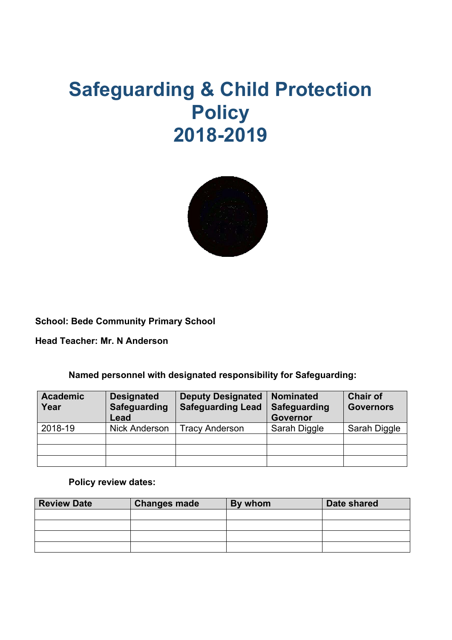# **Safeguarding & Child Protection Policy 2018-2019**



**School: Bede Community Primary School** 

**Head Teacher: Mr. N Anderson** 

**Named personnel with designated responsibility for Safeguarding:** 

| <b>Academic</b><br>Year | <b>Designated</b><br>Safeguarding<br>Lead | <b>Deputy Designated</b><br><b>Safeguarding Lead</b> | Nominated<br>Safeguarding<br><b>Governor</b> | <b>Chair of</b><br><b>Governors</b> |
|-------------------------|-------------------------------------------|------------------------------------------------------|----------------------------------------------|-------------------------------------|
| 2018-19                 | Nick Anderson                             | <b>Tracy Anderson</b>                                | Sarah Diggle                                 | Sarah Diggle                        |
|                         |                                           |                                                      |                                              |                                     |
|                         |                                           |                                                      |                                              |                                     |
|                         |                                           |                                                      |                                              |                                     |

**Policy review dates:** 

| <b>Review Date</b> | <b>Changes made</b> | By whom | Date shared |
|--------------------|---------------------|---------|-------------|
|                    |                     |         |             |
|                    |                     |         |             |
|                    |                     |         |             |
|                    |                     |         |             |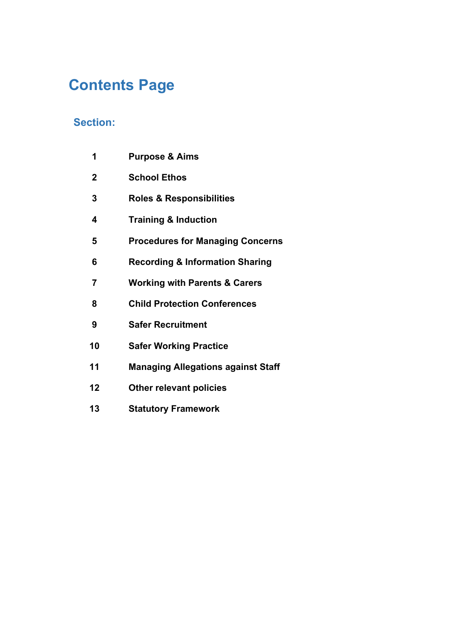# **Contents Page**

# **Section:**

| 1           | <b>Purpose &amp; Aims</b>                  |
|-------------|--------------------------------------------|
| $\mathbf 2$ | <b>School Ethos</b>                        |
| 3           | <b>Roles &amp; Responsibilities</b>        |
| 4           | <b>Training &amp; Induction</b>            |
| 5           | <b>Procedures for Managing Concerns</b>    |
| 6           | <b>Recording &amp; Information Sharing</b> |
| 7           | <b>Working with Parents &amp; Carers</b>   |
| 8           | <b>Child Protection Conferences</b>        |
| 9           | <b>Safer Recruitment</b>                   |
| 10          | <b>Safer Working Practice</b>              |
| 11          | <b>Managing Allegations against Staff</b>  |
| 12          | <b>Other relevant policies</b>             |
| 13          | <b>Statutory Framework</b>                 |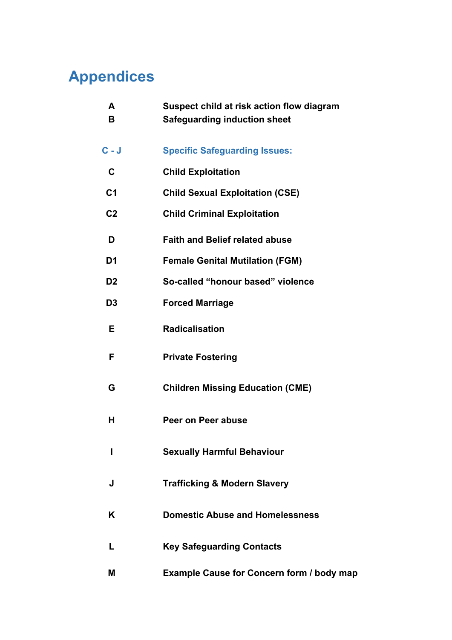# **Appendices**

| A<br>В         | Suspect child at risk action flow diagram<br><b>Safeguarding induction sheet</b> |
|----------------|----------------------------------------------------------------------------------|
| $C - J$        | <b>Specific Safeguarding Issues:</b>                                             |
| C              | <b>Child Exploitation</b>                                                        |
| C <sub>1</sub> | <b>Child Sexual Exploitation (CSE)</b>                                           |
| C <sub>2</sub> | <b>Child Criminal Exploitation</b>                                               |
| D              | <b>Faith and Belief related abuse</b>                                            |
| D <sub>1</sub> | <b>Female Genital Mutilation (FGM)</b>                                           |
| D <sub>2</sub> | So-called "honour based" violence                                                |
| D <sub>3</sub> | <b>Forced Marriage</b>                                                           |
| Е              | <b>Radicalisation</b>                                                            |
| F              | <b>Private Fostering</b>                                                         |
| G              | <b>Children Missing Education (CME)</b>                                          |
| н              | Peer on Peer abuse                                                               |
| ı              | <b>Sexually Harmful Behaviour</b>                                                |
| J              | <b>Trafficking &amp; Modern Slavery</b>                                          |
| K              | <b>Domestic Abuse and Homelessness</b>                                           |
| L              | <b>Key Safeguarding Contacts</b>                                                 |
| Μ              | Example Cause for Concern form / body map                                        |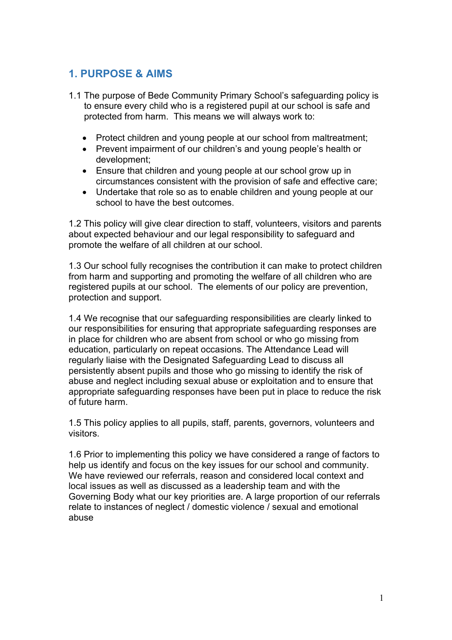# **1. PURPOSE & AIMS**

- 1.1 The purpose of Bede Community Primary School's safeguarding policy is to ensure every child who is a registered pupil at our school is safe and protected from harm. This means we will always work to:
	- Protect children and young people at our school from maltreatment:
	- Prevent impairment of our children's and young people's health or development;
	- Ensure that children and young people at our school grow up in circumstances consistent with the provision of safe and effective care;
	- Undertake that role so as to enable children and young people at our school to have the best outcomes.

1.2 This policy will give clear direction to staff, volunteers, visitors and parents about expected behaviour and our legal responsibility to safeguard and promote the welfare of all children at our school.

1.3 Our school fully recognises the contribution it can make to protect children from harm and supporting and promoting the welfare of all children who are registered pupils at our school. The elements of our policy are prevention, protection and support.

1.4 We recognise that our safeguarding responsibilities are clearly linked to our responsibilities for ensuring that appropriate safeguarding responses are in place for children who are absent from school or who go missing from education, particularly on repeat occasions. The Attendance Lead will regularly liaise with the Designated Safeguarding Lead to discuss all persistently absent pupils and those who go missing to identify the risk of abuse and neglect including sexual abuse or exploitation and to ensure that appropriate safeguarding responses have been put in place to reduce the risk of future harm.

1.5 This policy applies to all pupils, staff, parents, governors, volunteers and visitors.

1.6 Prior to implementing this policy we have considered a range of factors to help us identify and focus on the key issues for our school and community. We have reviewed our referrals, reason and considered local context and local issues as well as discussed as a leadership team and with the Governing Body what our key priorities are. A large proportion of our referrals relate to instances of neglect / domestic violence / sexual and emotional abuse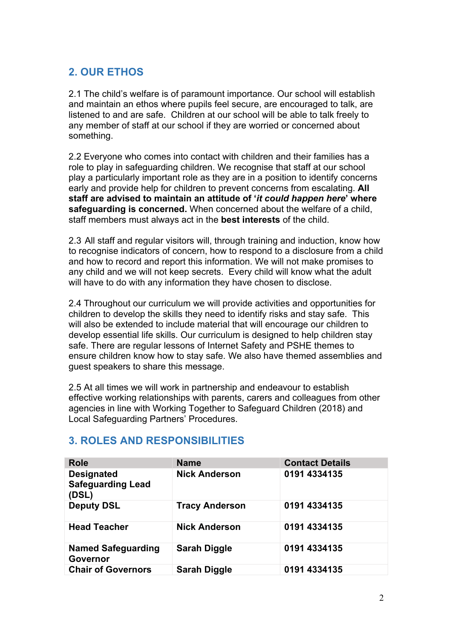# **2. OUR ETHOS**

2.1 The child's welfare is of paramount importance. Our school will establish and maintain an ethos where pupils feel secure, are encouraged to talk, are listened to and are safe. Children at our school will be able to talk freely to any member of staff at our school if they are worried or concerned about something.

2.2 Everyone who comes into contact with children and their families has a role to play in safeguarding children. We recognise that staff at our school play a particularly important role as they are in a position to identify concerns early and provide help for children to prevent concerns from escalating. **All staff are advised to maintain an attitude of '***it could happen here***' where safeguarding is concerned.** When concerned about the welfare of a child, staff members must always act in the **best interests** of the child.

2.3 All staff and regular visitors will, through training and induction, know how to recognise indicators of concern, how to respond to a disclosure from a child and how to record and report this information. We will not make promises to any child and we will not keep secrets. Every child will know what the adult will have to do with any information they have chosen to disclose.

2.4 Throughout our curriculum we will provide activities and opportunities for children to develop the skills they need to identify risks and stay safe. This will also be extended to include material that will encourage our children to develop essential life skills. Our curriculum is designed to help children stay safe. There are regular lessons of Internet Safety and PSHE themes to ensure children know how to stay safe. We also have themed assemblies and guest speakers to share this message.

2.5 At all times we will work in partnership and endeavour to establish effective working relationships with parents, carers and colleagues from other agencies in line with Working Together to Safeguard Children (2018) and Local Safeguarding Partners' Procedures.

| <b>Role</b>                                            | <b>Name</b>           | <b>Contact Details</b> |
|--------------------------------------------------------|-----------------------|------------------------|
| <b>Designated</b><br><b>Safeguarding Lead</b><br>(DSL) | <b>Nick Anderson</b>  | 0191 4334135           |
| <b>Deputy DSL</b>                                      | <b>Tracy Anderson</b> | 0191 4334135           |
| <b>Head Teacher</b>                                    | <b>Nick Anderson</b>  | 0191 4334135           |
| <b>Named Safeguarding</b><br><b>Governor</b>           | <b>Sarah Diggle</b>   | 0191 4334135           |
| <b>Chair of Governors</b>                              | <b>Sarah Diggle</b>   | 0191 4334135           |

## **3. ROLES AND RESPONSIBILITIES**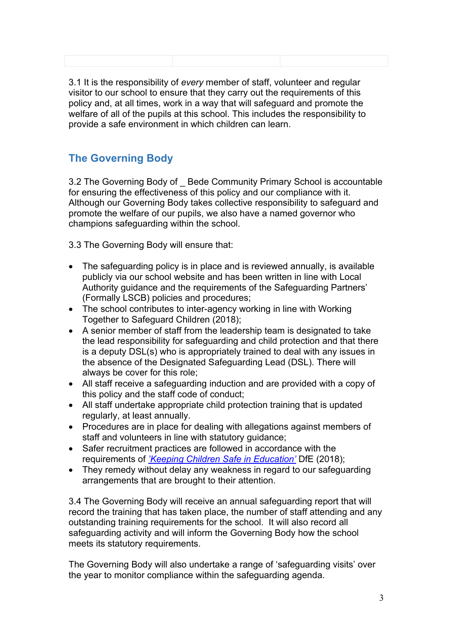3.1 It is the responsibility of *every* member of staff, volunteer and regular visitor to our school to ensure that they carry out the requirements of this policy and, at all times, work in a way that will safeguard and promote the welfare of all of the pupils at this school. This includes the responsibility to provide a safe environment in which children can learn.

# **The Governing Body**

3.2 The Governing Body of Bede Community Primary School is accountable for ensuring the effectiveness of this policy and our compliance with it. Although our Governing Body takes collective responsibility to safeguard and promote the welfare of our pupils, we also have a named governor who champions safeguarding within the school.

3.3 The Governing Body will ensure that:

- The safeguarding policy is in place and is reviewed annually, is available publicly via our school website and has been written in line with Local Authority guidance and the requirements of the Safeguarding Partners' (Formally LSCB) policies and procedures;
- The school contributes to inter-agency working in line with Working Together to Safeguard Children (2018);
- A senior member of staff from the leadership team is designated to take the lead responsibility for safeguarding and child protection and that there is a deputy DSL(s) who is appropriately trained to deal with any issues in the absence of the Designated Safeguarding Lead (DSL). There will always be cover for this role;
- All staff receive a safeguarding induction and are provided with a copy of this policy and the staff code of conduct;
- All staff undertake appropriate child protection training that is updated regularly, at least annually.
- Procedures are in place for dealing with allegations against members of staff and volunteers in line with statutory guidance;
- Safer recruitment practices are followed in accordance with the requirements of *'Keeping Children Safe in Education'* DfE (2018);
- They remedy without delay any weakness in regard to our safeguarding arrangements that are brought to their attention.

3.4 The Governing Body will receive an annual safeguarding report that will record the training that has taken place, the number of staff attending and any outstanding training requirements for the school. It will also record all safeguarding activity and will inform the Governing Body how the school meets its statutory requirements.

The Governing Body will also undertake a range of 'safeguarding visits' over the year to monitor compliance within the safeguarding agenda.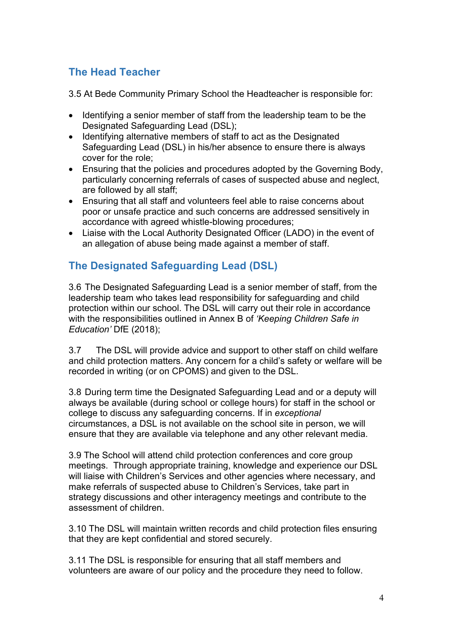# **The Head Teacher**

3.5 At Bede Community Primary School the Headteacher is responsible for:

- Identifying a senior member of staff from the leadership team to be the Designated Safeguarding Lead (DSL);
- Identifying alternative members of staff to act as the Designated Safeguarding Lead (DSL) in his/her absence to ensure there is always cover for the role;
- Ensuring that the policies and procedures adopted by the Governing Body, particularly concerning referrals of cases of suspected abuse and neglect, are followed by all staff;
- Ensuring that all staff and volunteers feel able to raise concerns about poor or unsafe practice and such concerns are addressed sensitively in accordance with agreed whistle-blowing procedures;
- Liaise with the Local Authority Designated Officer (LADO) in the event of an allegation of abuse being made against a member of staff.

# **The Designated Safeguarding Lead (DSL)**

3.6 The Designated Safeguarding Lead is a senior member of staff, from the leadership team who takes lead responsibility for safeguarding and child protection within our school. The DSL will carry out their role in accordance with the responsibilities outlined in Annex B of *'Keeping Children Safe in Education'* DfE (2018);

3.7 The DSL will provide advice and support to other staff on child welfare and child protection matters. Any concern for a child's safety or welfare will be recorded in writing (or on CPOMS) and given to the DSL.

3.8 During term time the Designated Safeguarding Lead and or a deputy will always be available (during school or college hours) for staff in the school or college to discuss any safeguarding concerns. If in *exceptional* circumstances, a DSL is not available on the school site in person, we will ensure that they are available via telephone and any other relevant media.

3.9 The School will attend child protection conferences and core group meetings. Through appropriate training, knowledge and experience our DSL will liaise with Children's Services and other agencies where necessary, and make referrals of suspected abuse to Children's Services, take part in strategy discussions and other interagency meetings and contribute to the assessment of children.

3.10 The DSL will maintain written records and child protection files ensuring that they are kept confidential and stored securely.

3.11 The DSL is responsible for ensuring that all staff members and volunteers are aware of our policy and the procedure they need to follow.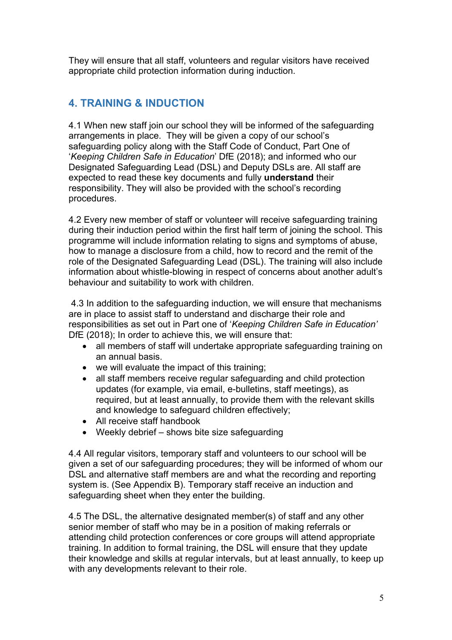They will ensure that all staff, volunteers and regular visitors have received appropriate child protection information during induction.

## **4. TRAINING & INDUCTION**

4.1 When new staff join our school they will be informed of the safeguarding arrangements in place. They will be given a copy of our school's safeguarding policy along with the Staff Code of Conduct, Part One of '*Keeping Children Safe in Education*' DfE (2018); and informed who our Designated Safeguarding Lead (DSL) and Deputy DSLs are. All staff are expected to read these key documents and fully **understand** their responsibility. They will also be provided with the school's recording procedures.

4.2 Every new member of staff or volunteer will receive safeguarding training during their induction period within the first half term of joining the school. This programme will include information relating to signs and symptoms of abuse, how to manage a disclosure from a child, how to record and the remit of the role of the Designated Safeguarding Lead (DSL). The training will also include information about whistle-blowing in respect of concerns about another adult's behaviour and suitability to work with children.

4.3 In addition to the safeguarding induction, we will ensure that mechanisms are in place to assist staff to understand and discharge their role and responsibilities as set out in Part one of '*Keeping Children Safe in Education'* DfE (2018); In order to achieve this, we will ensure that:

- all members of staff will undertake appropriate safeguarding training on an annual basis.
- we will evaluate the impact of this training;
- all staff members receive regular safeguarding and child protection updates (for example, via email, e-bulletins, staff meetings), as required, but at least annually, to provide them with the relevant skills and knowledge to safeguard children effectively;
- All receive staff handbook
- Weekly debrief shows bite size safeguarding

4.4 All regular visitors, temporary staff and volunteers to our school will be given a set of our safeguarding procedures; they will be informed of whom our DSL and alternative staff members are and what the recording and reporting system is. (See Appendix B). Temporary staff receive an induction and safeguarding sheet when they enter the building.

4.5 The DSL, the alternative designated member(s) of staff and any other senior member of staff who may be in a position of making referrals or attending child protection conferences or core groups will attend appropriate training. In addition to formal training, the DSL will ensure that they update their knowledge and skills at regular intervals, but at least annually, to keep up with any developments relevant to their role.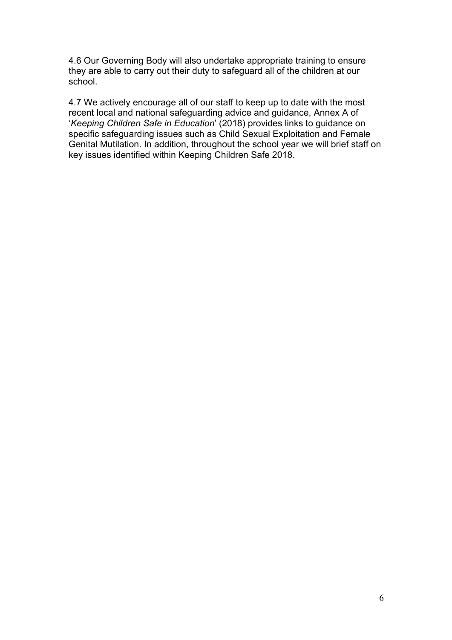4.6 Our Governing Body will also undertake appropriate training to ensure they are able to carry out their duty to safeguard all of the children at our school.

4.7 We actively encourage all of our staff to keep up to date with the most recent local and national safeguarding advice and guidance, Annex A of '*Keeping Children Safe in Education*' (2018) provides links to guidance on specific safeguarding issues such as Child Sexual Exploitation and Female Genital Mutilation. In addition, throughout the school year we will brief staff on key issues identified within Keeping Children Safe 2018.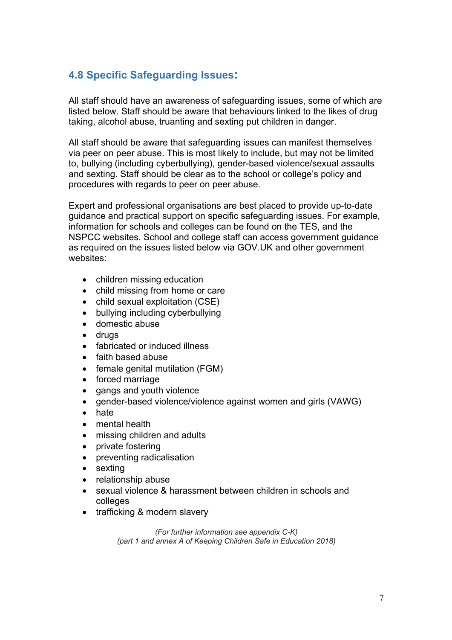# **4.8 Specific Safeguarding Issues:**

All staff should have an awareness of safeguarding issues, some of which are listed below. Staff should be aware that behaviours linked to the likes of drug taking, alcohol abuse, truanting and sexting put children in danger.

All staff should be aware that safeguarding issues can manifest themselves via peer on peer abuse. This is most likely to include, but may not be limited to, bullying (including cyberbullying), gender-based violence/sexual assaults and sexting. Staff should be clear as to the school or college's policy and procedures with regards to peer on peer abuse.

Expert and professional organisations are best placed to provide up-to-date guidance and practical support on specific safeguarding issues. For example, information for schools and colleges can be found on the TES, and the NSPCC websites. School and college staff can access government guidance as required on the issues listed below via GOV.UK and other government websites:

- children missing education
- child missing from home or care
- child sexual exploitation (CSE)
- bullying including cyberbullying
- domestic abuse
- drugs
- fabricated or induced illness
- faith based abuse
- female genital mutilation (FGM)
- forced marriage
- gangs and youth violence
- gender-based violence/violence against women and girls (VAWG)
- hate
- mental health
- missing children and adults
- private fostering
- preventing radicalisation
- sexting
- relationship abuse
- sexual violence & harassment between children in schools and colleges
- trafficking & modern slavery

*(For further information see appendix C-K) (part 1 and annex A of Keeping Children Safe in Education 2018)*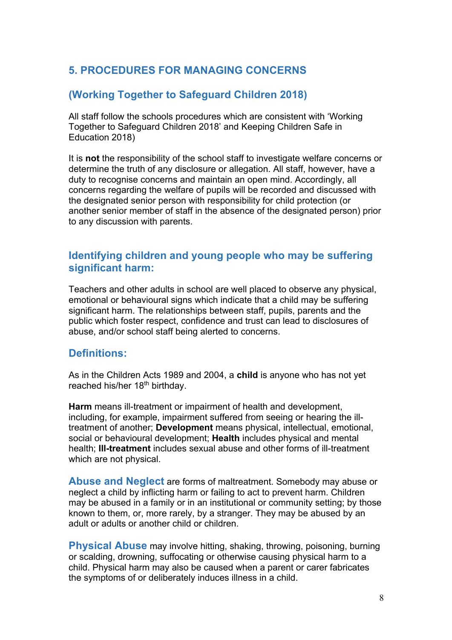# **5. PROCEDURES FOR MANAGING CONCERNS**

### **(Working Together to Safeguard Children 2018)**

All staff follow the schools procedures which are consistent with 'Working Together to Safeguard Children 2018' and Keeping Children Safe in Education 2018)

It is **not** the responsibility of the school staff to investigate welfare concerns or determine the truth of any disclosure or allegation. All staff, however, have a duty to recognise concerns and maintain an open mind. Accordingly, all concerns regarding the welfare of pupils will be recorded and discussed with the designated senior person with responsibility for child protection (or another senior member of staff in the absence of the designated person) prior to any discussion with parents.

### **Identifying children and young people who may be suffering significant harm:**

Teachers and other adults in school are well placed to observe any physical, emotional or behavioural signs which indicate that a child may be suffering significant harm. The relationships between staff, pupils, parents and the public which foster respect, confidence and trust can lead to disclosures of abuse, and/or school staff being alerted to concerns.

### **Definitions:**

As in the Children Acts 1989 and 2004, a **child** is anyone who has not yet reached his/her 18<sup>th</sup> birthday.

**Harm** means ill-treatment or impairment of health and development, including, for example, impairment suffered from seeing or hearing the illtreatment of another; **Development** means physical, intellectual, emotional, social or behavioural development; **Health** includes physical and mental health; **Ill-treatment** includes sexual abuse and other forms of ill-treatment which are not physical.

**Abuse and Neglect** are forms of maltreatment. Somebody may abuse or neglect a child by inflicting harm or failing to act to prevent harm. Children may be abused in a family or in an institutional or community setting; by those known to them, or, more rarely, by a stranger. They may be abused by an adult or adults or another child or children.

**Physical Abuse** may involve hitting, shaking, throwing, poisoning, burning or scalding, drowning, suffocating or otherwise causing physical harm to a child. Physical harm may also be caused when a parent or carer fabricates the symptoms of or deliberately induces illness in a child.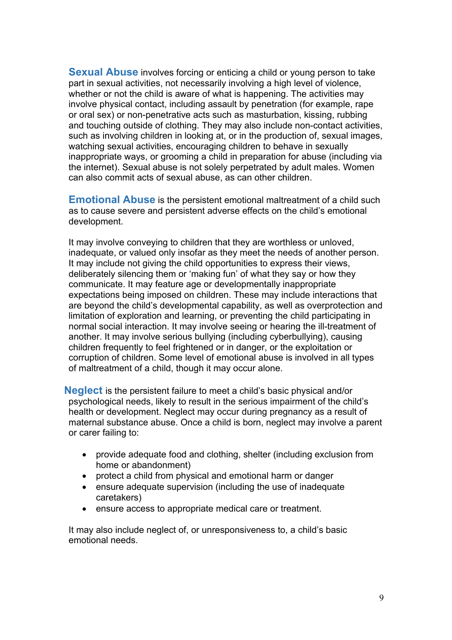**Sexual Abuse** involves forcing or enticing a child or young person to take part in sexual activities, not necessarily involving a high level of violence, whether or not the child is aware of what is happening. The activities may involve physical contact, including assault by penetration (for example, rape or oral sex) or non-penetrative acts such as masturbation, kissing, rubbing and touching outside of clothing. They may also include non-contact activities, such as involving children in looking at, or in the production of, sexual images, watching sexual activities, encouraging children to behave in sexually inappropriate ways, or grooming a child in preparation for abuse (including via the internet). Sexual abuse is not solely perpetrated by adult males. Women can also commit acts of sexual abuse, as can other children.

**Emotional Abuse** is the persistent emotional maltreatment of a child such as to cause severe and persistent adverse effects on the child's emotional development.

It may involve conveying to children that they are worthless or unloved, inadequate, or valued only insofar as they meet the needs of another person. It may include not giving the child opportunities to express their views, deliberately silencing them or 'making fun' of what they say or how they communicate. It may feature age or developmentally inappropriate expectations being imposed on children. These may include interactions that are beyond the child's developmental capability, as well as overprotection and limitation of exploration and learning, or preventing the child participating in normal social interaction. It may involve seeing or hearing the ill-treatment of another. It may involve serious bullying (including cyberbullying), causing children frequently to feel frightened or in danger, or the exploitation or corruption of children. Some level of emotional abuse is involved in all types of maltreatment of a child, though it may occur alone.

 **Neglect** is the persistent failure to meet a child's basic physical and/or psychological needs, likely to result in the serious impairment of the child's health or development. Neglect may occur during pregnancy as a result of maternal substance abuse. Once a child is born, neglect may involve a parent or carer failing to:

- provide adequate food and clothing, shelter (including exclusion from home or abandonment)
- protect a child from physical and emotional harm or danger
- ensure adequate supervision (including the use of inadequate caretakers)
- ensure access to appropriate medical care or treatment.

It may also include neglect of, or unresponsiveness to, a child's basic emotional needs.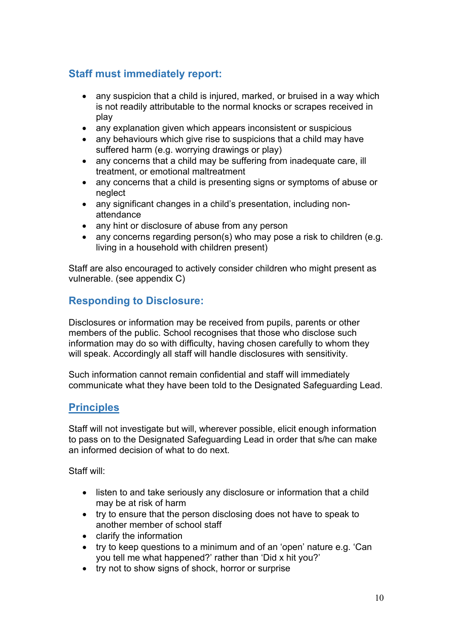# **Staff must immediately report:**

- any suspicion that a child is injured, marked, or bruised in a way which is not readily attributable to the normal knocks or scrapes received in play
- any explanation given which appears inconsistent or suspicious
- any behaviours which give rise to suspicions that a child may have suffered harm (e.g. worrying drawings or play)
- any concerns that a child may be suffering from inadequate care, ill treatment, or emotional maltreatment
- any concerns that a child is presenting signs or symptoms of abuse or neglect
- any significant changes in a child's presentation, including nonattendance
- any hint or disclosure of abuse from any person
- any concerns regarding person(s) who may pose a risk to children (e.g. living in a household with children present)

Staff are also encouraged to actively consider children who might present as vulnerable. (see appendix C)

## **Responding to Disclosure:**

Disclosures or information may be received from pupils, parents or other members of the public. School recognises that those who disclose such information may do so with difficulty, having chosen carefully to whom they will speak. Accordingly all staff will handle disclosures with sensitivity.

Such information cannot remain confidential and staff will immediately communicate what they have been told to the Designated Safeguarding Lead.

## **Principles**

Staff will not investigate but will, wherever possible, elicit enough information to pass on to the Designated Safeguarding Lead in order that s/he can make an informed decision of what to do next.

Staff will:

- listen to and take seriously any disclosure or information that a child may be at risk of harm
- try to ensure that the person disclosing does not have to speak to another member of school staff
- clarify the information
- try to keep questions to a minimum and of an 'open' nature e.g. 'Can you tell me what happened?' rather than 'Did x hit you?'
- try not to show signs of shock, horror or surprise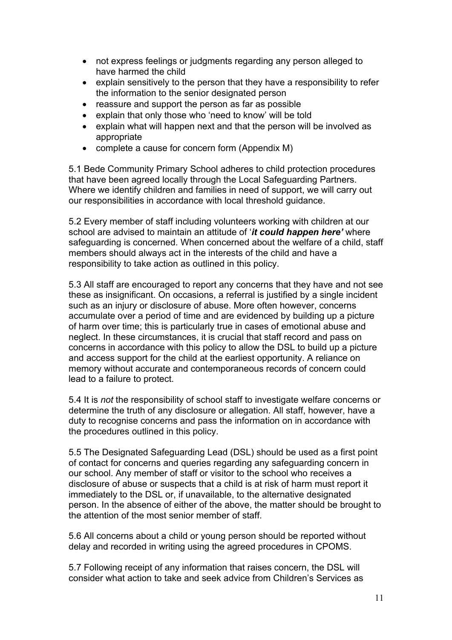- not express feelings or judgments regarding any person alleged to have harmed the child
- explain sensitively to the person that they have a responsibility to refer the information to the senior designated person
- reassure and support the person as far as possible
- explain that only those who 'need to know' will be told
- explain what will happen next and that the person will be involved as appropriate
- complete a cause for concern form (Appendix M)

5.1 Bede Community Primary School adheres to child protection procedures that have been agreed locally through the Local Safeguarding Partners. Where we identify children and families in need of support, we will carry out our responsibilities in accordance with local threshold guidance.

5.2 Every member of staff including volunteers working with children at our school are advised to maintain an attitude of '*it could happen here'* where safeguarding is concerned. When concerned about the welfare of a child, staff members should always act in the interests of the child and have a responsibility to take action as outlined in this policy.

5.3 All staff are encouraged to report any concerns that they have and not see these as insignificant. On occasions, a referral is justified by a single incident such as an injury or disclosure of abuse. More often however, concerns accumulate over a period of time and are evidenced by building up a picture of harm over time; this is particularly true in cases of emotional abuse and neglect. In these circumstances, it is crucial that staff record and pass on concerns in accordance with this policy to allow the DSL to build up a picture and access support for the child at the earliest opportunity. A reliance on memory without accurate and contemporaneous records of concern could lead to a failure to protect.

5.4 It is *not* the responsibility of school staff to investigate welfare concerns or determine the truth of any disclosure or allegation. All staff, however, have a duty to recognise concerns and pass the information on in accordance with the procedures outlined in this policy.

5.5 The Designated Safeguarding Lead (DSL) should be used as a first point of contact for concerns and queries regarding any safeguarding concern in our school. Any member of staff or visitor to the school who receives a disclosure of abuse or suspects that a child is at risk of harm must report it immediately to the DSL or, if unavailable, to the alternative designated person. In the absence of either of the above, the matter should be brought to the attention of the most senior member of staff.

5.6 All concerns about a child or young person should be reported without delay and recorded in writing using the agreed procedures in CPOMS.

5.7 Following receipt of any information that raises concern, the DSL will consider what action to take and seek advice from Children's Services as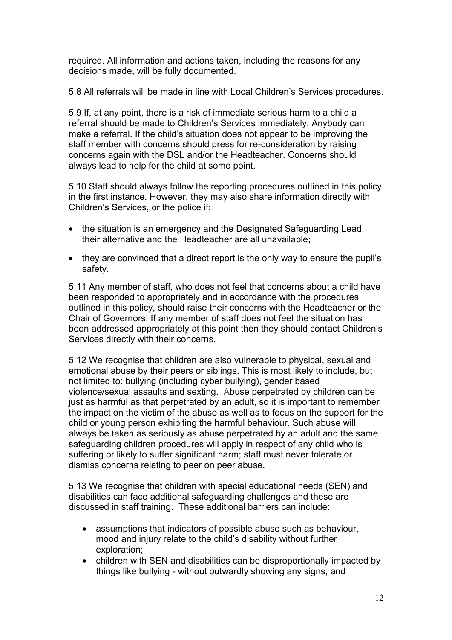required. All information and actions taken, including the reasons for any decisions made, will be fully documented.

5.8 All referrals will be made in line with Local Children's Services procedures.

5.9 If, at any point, there is a risk of immediate serious harm to a child a referral should be made to Children's Services immediately. Anybody can make a referral. If the child's situation does not appear to be improving the staff member with concerns should press for re-consideration by raising concerns again with the DSL and/or the Headteacher. Concerns should always lead to help for the child at some point.

5.10 Staff should always follow the reporting procedures outlined in this policy in the first instance. However, they may also share information directly with Children's Services, or the police if:

- the situation is an emergency and the Designated Safeguarding Lead, their alternative and the Headteacher are all unavailable;
- they are convinced that a direct report is the only way to ensure the pupil's safety.

5.11 Any member of staff, who does not feel that concerns about a child have been responded to appropriately and in accordance with the procedures outlined in this policy, should raise their concerns with the Headteacher or the Chair of Governors. If any member of staff does not feel the situation has been addressed appropriately at this point then they should contact Children's Services directly with their concerns.

5.12 We recognise that children are also vulnerable to physical, sexual and emotional abuse by their peers or siblings. This is most likely to include, but not limited to: bullying (including cyber bullying), gender based violence/sexual assaults and sexting. Abuse perpetrated by children can be just as harmful as that perpetrated by an adult, so it is important to remember the impact on the victim of the abuse as well as to focus on the support for the child or young person exhibiting the harmful behaviour. Such abuse will always be taken as seriously as abuse perpetrated by an adult and the same safeguarding children procedures will apply in respect of any child who is suffering or likely to suffer significant harm; staff must never tolerate or dismiss concerns relating to peer on peer abuse.

5.13 We recognise that children with special educational needs (SEN) and disabilities can face additional safeguarding challenges and these are discussed in staff training. These additional barriers can include:

- assumptions that indicators of possible abuse such as behaviour, mood and injury relate to the child's disability without further exploration;
- children with SEN and disabilities can be disproportionally impacted by things like bullying - without outwardly showing any signs; and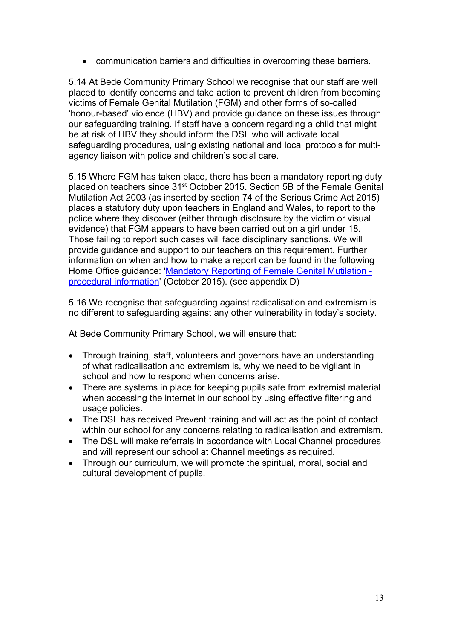• communication barriers and difficulties in overcoming these barriers.

5.14 At Bede Community Primary School we recognise that our staff are well placed to identify concerns and take action to prevent children from becoming victims of Female Genital Mutilation (FGM) and other forms of so-called 'honour-based' violence (HBV) and provide guidance on these issues through our safeguarding training. If staff have a concern regarding a child that might be at risk of HBV they should inform the DSL who will activate local safeguarding procedures, using existing national and local protocols for multiagency liaison with police and children's social care.

5.15 Where FGM has taken place, there has been a mandatory reporting duty placed on teachers since 31<sup>st</sup> October 2015. Section 5B of the Female Genital Mutilation Act 2003 (as inserted by section 74 of the Serious Crime Act 2015) places a statutory duty upon teachers in England and Wales, to report to the police where they discover (either through disclosure by the victim or visual evidence) that FGM appears to have been carried out on a girl under 18. Those failing to report such cases will face disciplinary sanctions. We will provide guidance and support to our teachers on this requirement. Further information on when and how to make a report can be found in the following Home Office guidance: 'Mandatory Reporting of Female Genital Mutilation procedural information' (October 2015). (see appendix D)

5.16 We recognise that safeguarding against radicalisation and extremism is no different to safeguarding against any other vulnerability in today's society*.* 

At Bede Community Primary School, we will ensure that:

- Through training, staff, volunteers and governors have an understanding of what radicalisation and extremism is, why we need to be vigilant in school and how to respond when concerns arise.
- There are systems in place for keeping pupils safe from extremist material when accessing the internet in our school by using effective filtering and usage policies.
- The DSL has received Prevent training and will act as the point of contact within our school for any concerns relating to radicalisation and extremism.
- The DSL will make referrals in accordance with Local Channel procedures and will represent our school at Channel meetings as required.
- Through our curriculum, we will promote the spiritual, moral, social and cultural development of pupils.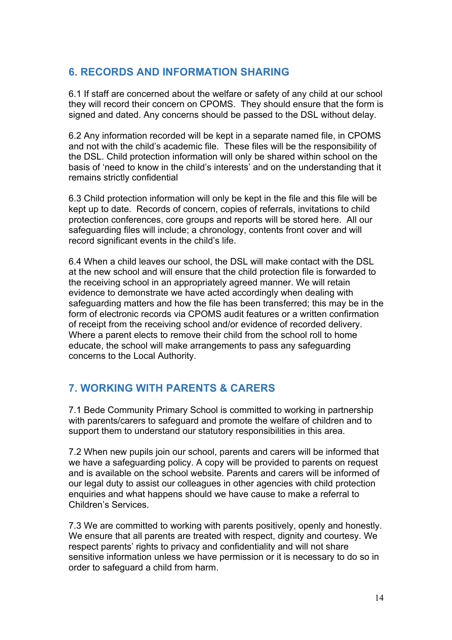# **6. RECORDS AND INFORMATION SHARING**

6.1 If staff are concerned about the welfare or safety of any child at our school they will record their concern on CPOMS. They should ensure that the form is signed and dated. Any concerns should be passed to the DSL without delay.

6.2 Any information recorded will be kept in a separate named file, in CPOMS and not with the child's academic file. These files will be the responsibility of the DSL. Child protection information will only be shared within school on the basis of 'need to know in the child's interests' and on the understanding that it remains strictly confidential

6.3 Child protection information will only be kept in the file and this file will be kept up to date. Records of concern, copies of referrals, invitations to child protection conferences, core groups and reports will be stored here. All our safeguarding files will include; a chronology, contents front cover and will record significant events in the child's life.

6.4 When a child leaves our school, the DSL will make contact with the DSL at the new school and will ensure that the child protection file is forwarded to the receiving school in an appropriately agreed manner. We will retain evidence to demonstrate we have acted accordingly when dealing with safeguarding matters and how the file has been transferred; this may be in the form of electronic records via CPOMS audit features or a written confirmation of receipt from the receiving school and/or evidence of recorded delivery. Where a parent elects to remove their child from the school roll to home educate, the school will make arrangements to pass any safeguarding concerns to the Local Authority.

## **7. WORKING WITH PARENTS & CARERS**

7.1 Bede Community Primary School is committed to working in partnership with parents/carers to safeguard and promote the welfare of children and to support them to understand our statutory responsibilities in this area.

7.2 When new pupils join our school, parents and carers will be informed that we have a safeguarding policy. A copy will be provided to parents on request and is available on the school website. Parents and carers will be informed of our legal duty to assist our colleagues in other agencies with child protection enquiries and what happens should we have cause to make a referral to Children's Services.

7.3 We are committed to working with parents positively, openly and honestly. We ensure that all parents are treated with respect, dignity and courtesy. We respect parents' rights to privacy and confidentiality and will not share sensitive information unless we have permission or it is necessary to do so in order to safeguard a child from harm.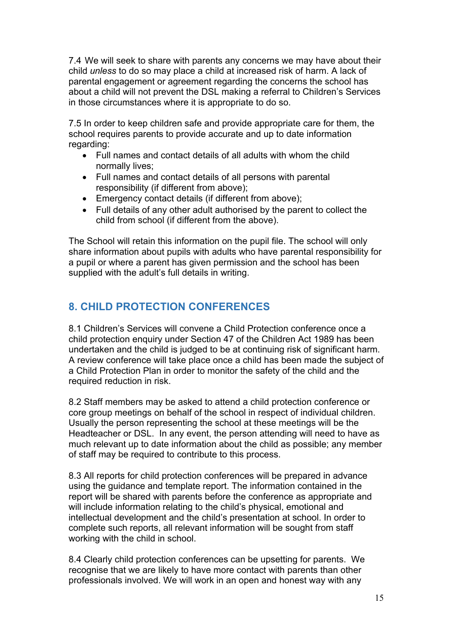7.4 We will seek to share with parents any concerns we may have about their child *unless* to do so may place a child at increased risk of harm. A lack of parental engagement or agreement regarding the concerns the school has about a child will not prevent the DSL making a referral to Children's Services in those circumstances where it is appropriate to do so.

7.5 In order to keep children safe and provide appropriate care for them, the school requires parents to provide accurate and up to date information regarding:

- Full names and contact details of all adults with whom the child normally lives;
- Full names and contact details of all persons with parental responsibility (if different from above);
- Emergency contact details (if different from above);
- Full details of any other adult authorised by the parent to collect the child from school (if different from the above).

The School will retain this information on the pupil file. The school will only share information about pupils with adults who have parental responsibility for a pupil or where a parent has given permission and the school has been supplied with the adult's full details in writing.

# **8. CHILD PROTECTION CONFERENCES**

8.1 Children's Services will convene a Child Protection conference once a child protection enquiry under Section 47 of the Children Act 1989 has been undertaken and the child is judged to be at continuing risk of significant harm. A review conference will take place once a child has been made the subject of a Child Protection Plan in order to monitor the safety of the child and the required reduction in risk.

8.2 Staff members may be asked to attend a child protection conference or core group meetings on behalf of the school in respect of individual children. Usually the person representing the school at these meetings will be the Headteacher or DSL. In any event, the person attending will need to have as much relevant up to date information about the child as possible; any member of staff may be required to contribute to this process.

8.3 All reports for child protection conferences will be prepared in advance using the guidance and template report. The information contained in the report will be shared with parents before the conference as appropriate and will include information relating to the child's physical, emotional and intellectual development and the child's presentation at school. In order to complete such reports, all relevant information will be sought from staff working with the child in school.

8.4 Clearly child protection conferences can be upsetting for parents. We recognise that we are likely to have more contact with parents than other professionals involved. We will work in an open and honest way with any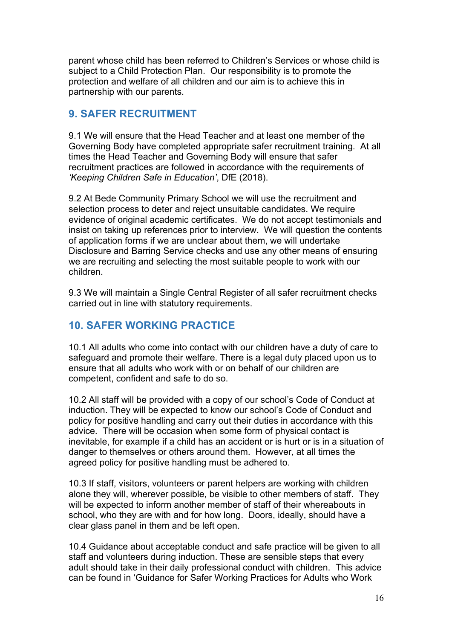parent whose child has been referred to Children's Services or whose child is subject to a Child Protection Plan. Our responsibility is to promote the protection and welfare of all children and our aim is to achieve this in partnership with our parents.

### **9. SAFER RECRUITMENT**

9.1 We will ensure that the Head Teacher and at least one member of the Governing Body have completed appropriate safer recruitment training. At all times the Head Teacher and Governing Body will ensure that safer recruitment practices are followed in accordance with the requirements of *'Keeping Children Safe in Education'*, DfE (2018).

9.2 At Bede Community Primary School we will use the recruitment and selection process to deter and reject unsuitable candidates. We require evidence of original academic certificates. We do not accept testimonials and insist on taking up references prior to interview. We will question the contents of application forms if we are unclear about them, we will undertake Disclosure and Barring Service checks and use any other means of ensuring we are recruiting and selecting the most suitable people to work with our children.

9.3 We will maintain a Single Central Register of all safer recruitment checks carried out in line with statutory requirements.

# **10. SAFER WORKING PRACTICE**

10.1 All adults who come into contact with our children have a duty of care to safeguard and promote their welfare. There is a legal duty placed upon us to ensure that all adults who work with or on behalf of our children are competent, confident and safe to do so.

10.2 All staff will be provided with a copy of our school's Code of Conduct at induction. They will be expected to know our school's Code of Conduct and policy for positive handling and carry out their duties in accordance with this advice. There will be occasion when some form of physical contact is inevitable, for example if a child has an accident or is hurt or is in a situation of danger to themselves or others around them. However, at all times the agreed policy for positive handling must be adhered to.

10.3 If staff, visitors, volunteers or parent helpers are working with children alone they will, wherever possible, be visible to other members of staff. They will be expected to inform another member of staff of their whereabouts in school, who they are with and for how long. Doors, ideally, should have a clear glass panel in them and be left open.

10.4 Guidance about acceptable conduct and safe practice will be given to all staff and volunteers during induction. These are sensible steps that every adult should take in their daily professional conduct with children. This advice can be found in 'Guidance for Safer Working Practices for Adults who Work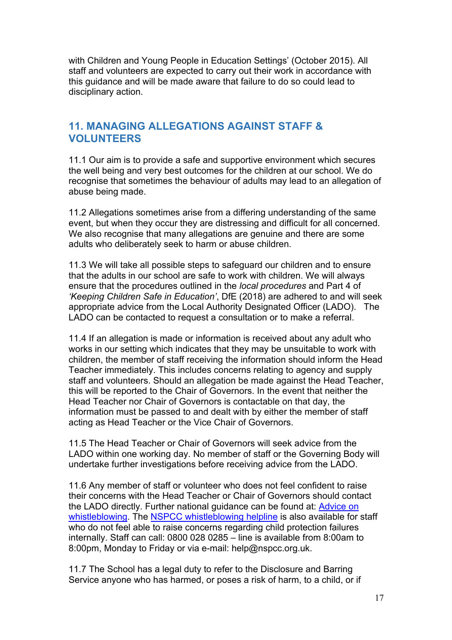with Children and Young People in Education Settings' (October 2015). All staff and volunteers are expected to carry out their work in accordance with this guidance and will be made aware that failure to do so could lead to disciplinary action.

#### **11. MANAGING ALLEGATIONS AGAINST STAFF & VOLUNTEERS**

11.1 Our aim is to provide a safe and supportive environment which secures the well being and very best outcomes for the children at our school. We do recognise that sometimes the behaviour of adults may lead to an allegation of abuse being made.

11.2 Allegations sometimes arise from a differing understanding of the same event, but when they occur they are distressing and difficult for all concerned. We also recognise that many allegations are genuine and there are some adults who deliberately seek to harm or abuse children.

11.3 We will take all possible steps to safeguard our children and to ensure that the adults in our school are safe to work with children. We will always ensure that the procedures outlined in the *local procedures* and Part 4 of *'Keeping Children Safe in Education'*, DfE (2018) are adhered to and will seek appropriate advice from the Local Authority Designated Officer (LADO). The LADO can be contacted to request a consultation or to make a referral.

11.4 If an allegation is made or information is received about any adult who works in our setting which indicates that they may be unsuitable to work with children, the member of staff receiving the information should inform the Head Teacher immediately. This includes concerns relating to agency and supply staff and volunteers. Should an allegation be made against the Head Teacher, this will be reported to the Chair of Governors. In the event that neither the Head Teacher nor Chair of Governors is contactable on that day, the information must be passed to and dealt with by either the member of staff acting as Head Teacher or the Vice Chair of Governors.

11.5 The Head Teacher or Chair of Governors will seek advice from the LADO within one working day. No member of staff or the Governing Body will undertake further investigations before receiving advice from the LADO.

11.6 Any member of staff or volunteer who does not feel confident to raise their concerns with the Head Teacher or Chair of Governors should contact the LADO directly. Further national guidance can be found at: Advice on whistleblowing. The NSPCC whistleblowing helpline is also available for staff who do not feel able to raise concerns regarding child protection failures internally. Staff can call: 0800 028 0285 – line is available from 8:00am to 8:00pm, Monday to Friday or via e-mail: help@nspcc.org.uk.

11.7 The School has a legal duty to refer to the Disclosure and Barring Service anyone who has harmed, or poses a risk of harm, to a child, or if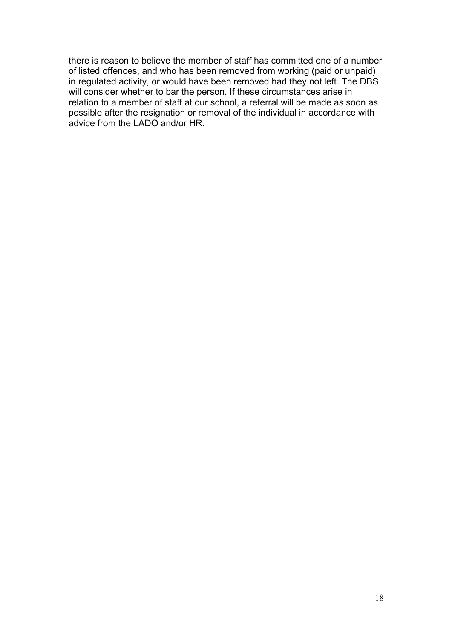there is reason to believe the member of staff has committed one of a number of listed offences, and who has been removed from working (paid or unpaid) in regulated activity, or would have been removed had they not left. The DBS will consider whether to bar the person. If these circumstances arise in relation to a member of staff at our school, a referral will be made as soon as possible after the resignation or removal of the individual in accordance with advice from the LADO and/or HR.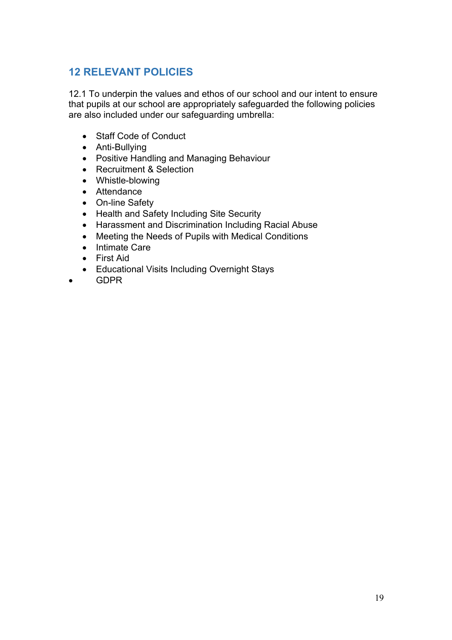# **12 RELEVANT POLICIES**

12.1 To underpin the values and ethos of our school and our intent to ensure that pupils at our school are appropriately safeguarded the following policies are also included under our safeguarding umbrella:

- Staff Code of Conduct
- Anti-Bullying
- Positive Handling and Managing Behaviour
- Recruitment & Selection
- Whistle-blowing
- Attendance
- On-line Safety
- Health and Safety Including Site Security
- Harassment and Discrimination Including Racial Abuse
- Meeting the Needs of Pupils with Medical Conditions
- Intimate Care
- First Aid
- Educational Visits Including Overnight Stays
- GDPR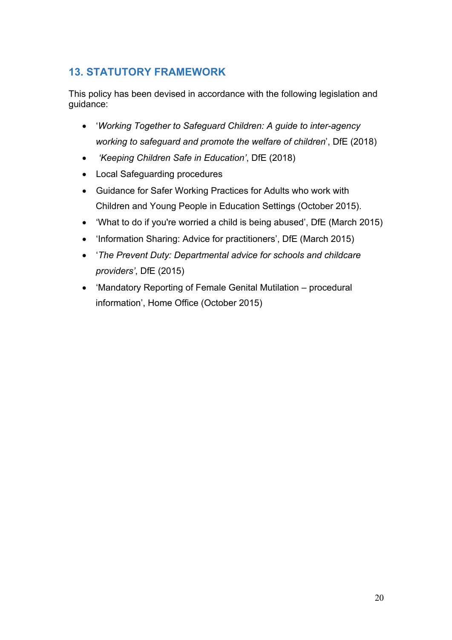# **13. STATUTORY FRAMEWORK**

This policy has been devised in accordance with the following legislation and guidance:

- '*Working Together to Safeguard Children: A guide to inter-agency working to safeguard and promote the welfare of children*', DfE (2018)
- • *'Keeping Children Safe in Education'*, DfE (2018)
- Local Safeguarding procedures
- Guidance for Safer Working Practices for Adults who work with Children and Young People in Education Settings (October 2015).
- 'What to do if you're worried a child is being abused', DfE (March 2015)
- 'Information Sharing: Advice for practitioners', DfE (March 2015)
- '*The Prevent Duty: Departmental advice for schools and childcare providers'*, DfE (2015)
- 'Mandatory Reporting of Female Genital Mutilation procedural information', Home Office (October 2015)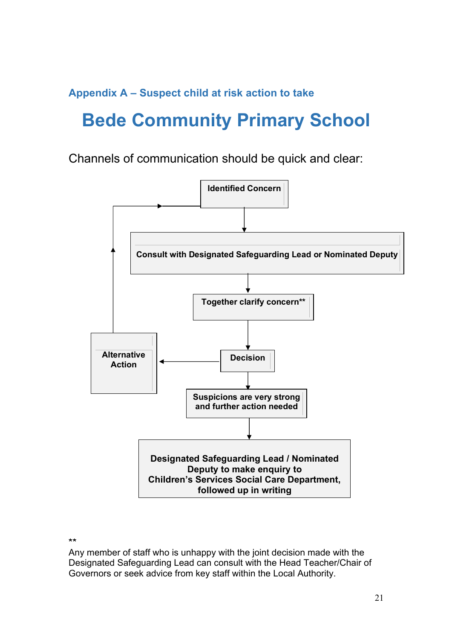**Appendix A – Suspect child at risk action to take**

# **Bede Community Primary School**

Channels of communication should be quick and clear:



\*\*

Any member of staff who is unhappy with the joint decision made with the Designated Safeguarding Lead can consult with the Head Teacher/Chair of Governors or seek advice from key staff within the Local Authority.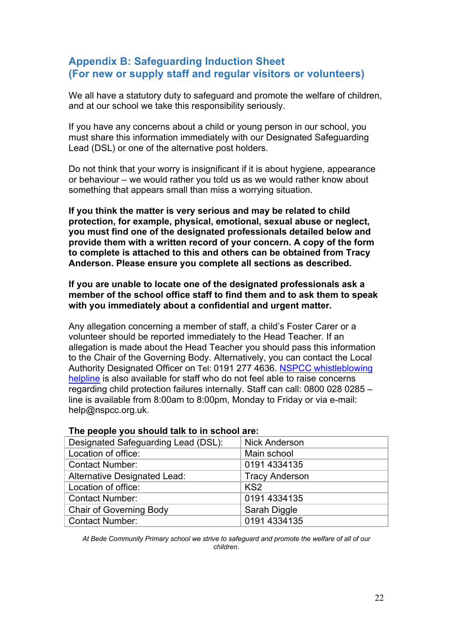### **Appendix B: Safeguarding Induction Sheet (For new or supply staff and regular visitors or volunteers)**

We all have a statutory duty to safeguard and promote the welfare of children, and at our school we take this responsibility seriously.

If you have any concerns about a child or young person in our school, you must share this information immediately with our Designated Safeguarding Lead (DSL) or one of the alternative post holders.

Do not think that your worry is insignificant if it is about hygiene, appearance or behaviour – we would rather you told us as we would rather know about something that appears small than miss a worrying situation.

**If you think the matter is very serious and may be related to child protection, for example, physical, emotional, sexual abuse or neglect, you must find one of the designated professionals detailed below and provide them with a written record of your concern. A copy of the form to complete is attached to this and others can be obtained from Tracy Anderson. Please ensure you complete all sections as described.**

**If you are unable to locate one of the designated professionals ask a member of the school office staff to find them and to ask them to speak with you immediately about a confidential and urgent matter.** 

Any allegation concerning a member of staff, a child's Foster Carer or a volunteer should be reported immediately to the Head Teacher. If an allegation is made about the Head Teacher you should pass this information to the Chair of the Governing Body. Alternatively, you can contact the Local Authority Designated Officer on Tel: 0191 277 4636. NSPCC whistleblowing helpline is also available for staff who do not feel able to raise concerns regarding child protection failures internally. Staff can call: 0800 028 0285 – line is available from 8:00am to 8:00pm, Monday to Friday or via e-mail: help@nspcc.org.uk.

| Designated Safeguarding Lead (DSL): | <b>Nick Anderson</b>  |
|-------------------------------------|-----------------------|
| Location of office:                 | Main school           |
| <b>Contact Number:</b>              | 0191 4334135          |
| Alternative Designated Lead:        | <b>Tracy Anderson</b> |
| Location of office:                 | KS <sub>2</sub>       |
| <b>Contact Number:</b>              | 0191 4334135          |
| <b>Chair of Governing Body</b>      | Sarah Diggle          |
| <b>Contact Number:</b>              | 0191 4334135          |

#### **The people you should talk to in school are:**

*At Bede Community Primary school we strive to safeguard and promote the welfare of all of our children*.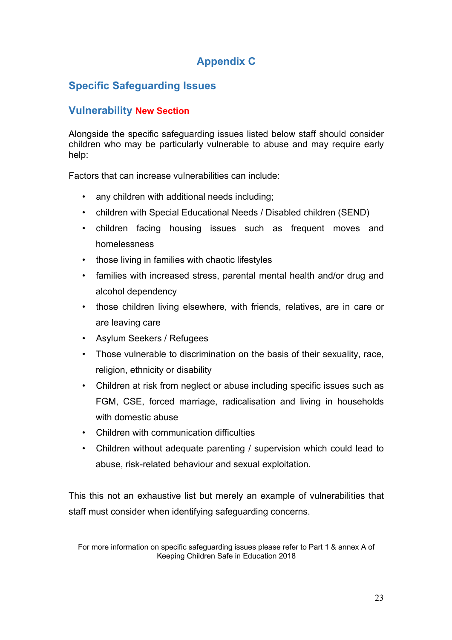# **Appendix C**

# **Specific Safeguarding Issues**

### **Vulnerability New Section**

Alongside the specific safeguarding issues listed below staff should consider children who may be particularly vulnerable to abuse and may require early help:

Factors that can increase vulnerabilities can include:

- any children with additional needs including;
- children with Special Educational Needs / Disabled children (SEND)
- children facing housing issues such as frequent moves and homelessness
- those living in families with chaotic lifestyles
- families with increased stress, parental mental health and/or drug and alcohol dependency
- those children living elsewhere, with friends, relatives, are in care or are leaving care
- Asylum Seekers / Refugees
- Those vulnerable to discrimination on the basis of their sexuality, race, religion, ethnicity or disability
- Children at risk from neglect or abuse including specific issues such as FGM, CSE, forced marriage, radicalisation and living in households with domestic abuse
- Children with communication difficulties
- Children without adequate parenting / supervision which could lead to abuse, risk-related behaviour and sexual exploitation.

This this not an exhaustive list but merely an example of vulnerabilities that staff must consider when identifying safeguarding concerns.

For more information on specific safeguarding issues please refer to Part 1 & annex A of Keeping Children Safe in Education 2018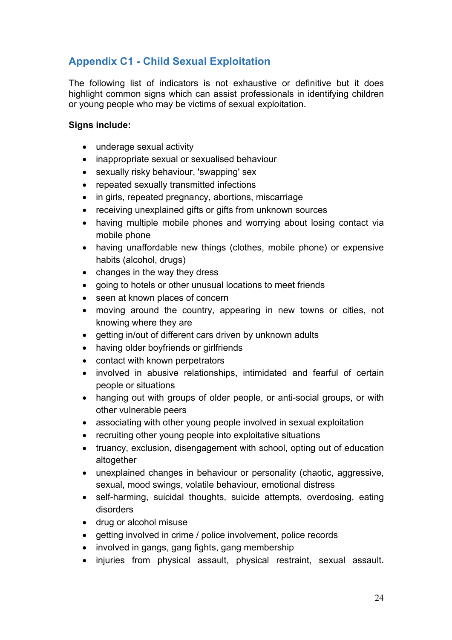# **Appendix C1 - Child Sexual Exploitation**

The following list of indicators is not exhaustive or definitive but it does highlight common signs which can assist professionals in identifying children or young people who may be victims of sexual exploitation.

#### **Signs include:**

- underage sexual activity
- inappropriate sexual or sexualised behaviour
- sexually risky behaviour, 'swapping' sex
- repeated sexually transmitted infections
- in girls, repeated pregnancy, abortions, miscarriage
- receiving unexplained gifts or gifts from unknown sources
- having multiple mobile phones and worrying about losing contact via mobile phone
- having unaffordable new things (clothes, mobile phone) or expensive habits (alcohol, drugs)
- changes in the way they dress
- going to hotels or other unusual locations to meet friends
- seen at known places of concern
- moving around the country, appearing in new towns or cities, not knowing where they are
- getting in/out of different cars driven by unknown adults
- having older boyfriends or girlfriends
- contact with known perpetrators
- involved in abusive relationships, intimidated and fearful of certain people or situations
- hanging out with groups of older people, or anti-social groups, or with other vulnerable peers
- associating with other young people involved in sexual exploitation
- recruiting other young people into exploitative situations
- truancy, exclusion, disengagement with school, opting out of education altogether
- unexplained changes in behaviour or personality (chaotic, aggressive, sexual, mood swings, volatile behaviour, emotional distress
- self-harming, suicidal thoughts, suicide attempts, overdosing, eating disorders
- drug or alcohol misuse
- getting involved in crime / police involvement, police records
- involved in gangs, gang fights, gang membership
- injuries from physical assault, physical restraint, sexual assault.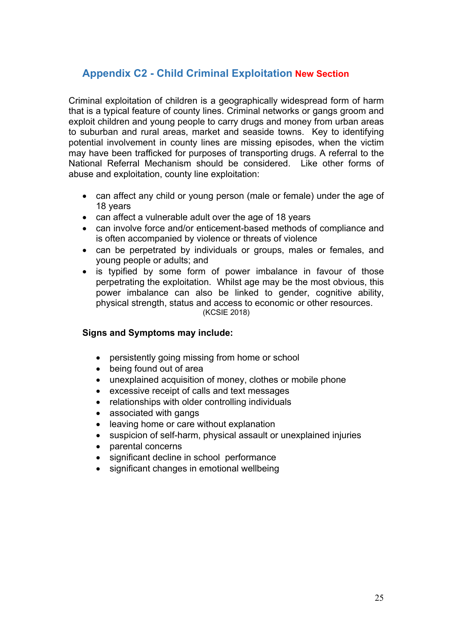# **Appendix C2 - Child Criminal Exploitation New Section**

Criminal exploitation of children is a geographically widespread form of harm that is a typical feature of county lines. Criminal networks or gangs groom and exploit children and young people to carry drugs and money from urban areas to suburban and rural areas, market and seaside towns. Key to identifying potential involvement in county lines are missing episodes, when the victim may have been trafficked for purposes of transporting drugs. A referral to the National Referral Mechanism should be considered. Like other forms of abuse and exploitation, county line exploitation:

- can affect any child or young person (male or female) under the age of 18 years
- can affect a vulnerable adult over the age of 18 years
- can involve force and/or enticement-based methods of compliance and is often accompanied by violence or threats of violence
- can be perpetrated by individuals or groups, males or females, and young people or adults; and
- is typified by some form of power imbalance in favour of those perpetrating the exploitation. Whilst age may be the most obvious, this power imbalance can also be linked to gender, cognitive ability, physical strength, status and access to economic or other resources. (KCSIE 2018)

#### **Signs and Symptoms may include:**

- persistently going missing from home or school
- being found out of area
- unexplained acquisition of money, clothes or mobile phone
- excessive receipt of calls and text messages
- relationships with older controlling individuals
- associated with gangs
- leaving home or care without explanation
- suspicion of self-harm, physical assault or unexplained injuries
- parental concerns
- significant decline in school performance
- significant changes in emotional wellbeing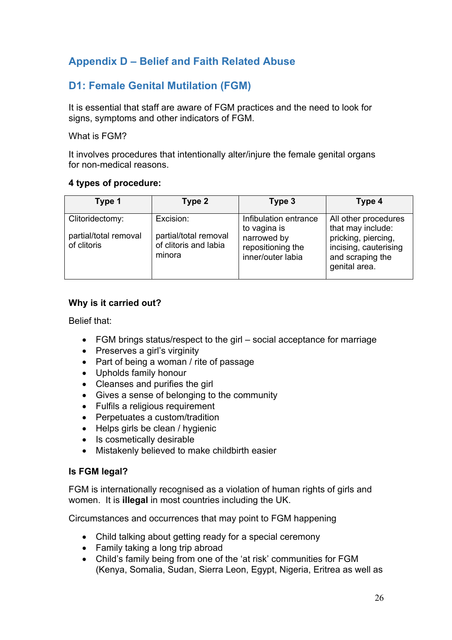# **Appendix D – Belief and Faith Related Abuse**

# **D1: Female Genital Mutilation (FGM)**

It is essential that staff are aware of FGM practices and the need to look for signs, symptoms and other indicators of FGM.

#### What is FGM?

It involves procedures that intentionally alter/injure the female genital organs for non-medical reasons.

#### **4 types of procedure:**

| Type 1                               | Type 2                                                   | Type 3                                                                | Type 4                                                                                                 |
|--------------------------------------|----------------------------------------------------------|-----------------------------------------------------------------------|--------------------------------------------------------------------------------------------------------|
| Clitoridectomy:                      | Excision:                                                | Infibulation entrance                                                 | All other procedures                                                                                   |
| partial/total removal<br>of clitoris | partial/total removal<br>of clitoris and labia<br>minora | to vagina is<br>narrowed by<br>repositioning the<br>inner/outer labia | that may include:<br>pricking, piercing,<br>incising, cauterising<br>and scraping the<br>genital area. |

#### **Why is it carried out?**

Belief that:

- FGM brings status/respect to the girl social acceptance for marriage
- Preserves a girl's virginity
- Part of being a woman / rite of passage
- Upholds family honour
- Cleanses and purifies the girl
- Gives a sense of belonging to the community
- Fulfils a religious requirement
- Perpetuates a custom/tradition
- Helps girls be clean / hygienic
- Is cosmetically desirable
- Mistakenly believed to make childbirth easier

#### **Is FGM legal?**

FGM is internationally recognised as a violation of human rights of girls and women. It is **illegal** in most countries including the UK.

Circumstances and occurrences that may point to FGM happening

- Child talking about getting ready for a special ceremony
- Family taking a long trip abroad
- Child's family being from one of the 'at risk' communities for FGM (Kenya, Somalia, Sudan, Sierra Leon, Egypt, Nigeria, Eritrea as well as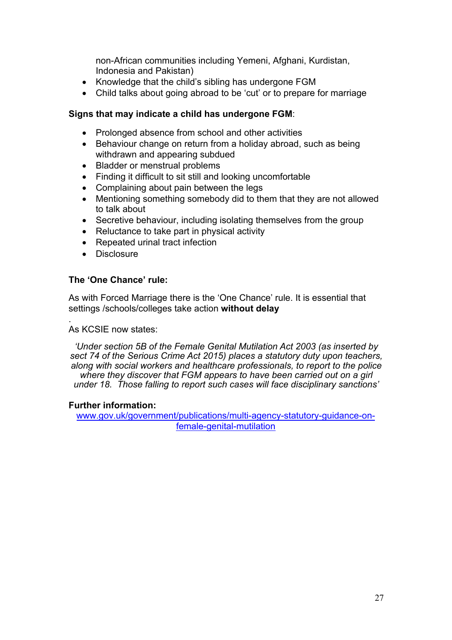non-African communities including Yemeni, Afghani, Kurdistan, Indonesia and Pakistan)

- Knowledge that the child's sibling has undergone FGM
- Child talks about going abroad to be 'cut' or to prepare for marriage

#### **Signs that may indicate a child has undergone FGM**:

- Prolonged absence from school and other activities
- Behaviour change on return from a holiday abroad, such as being withdrawn and appearing subdued
- Bladder or menstrual problems
- Finding it difficult to sit still and looking uncomfortable
- Complaining about pain between the legs
- Mentioning something somebody did to them that they are not allowed to talk about
- Secretive behaviour, including isolating themselves from the group
- Reluctance to take part in physical activity
- Repeated urinal tract infection
- Disclosure

#### **The 'One Chance' rule:**

As with Forced Marriage there is the 'One Chance' rule. It is essential that settings /schools/colleges take action **without delay** 

. As KCSIE now states:

*'Under section 5B of the Female Genital Mutilation Act 2003 (as inserted by sect 74 of the Serious Crime Act 2015) places a statutory duty upon teachers, along with social workers and healthcare professionals, to report to the police where they discover that FGM appears to have been carried out on a girl under 18. Those falling to report such cases will face disciplinary sanctions'*

#### **Further information:**

www.gov.uk/government/publications/multi-agency-statutory-guidance-onfemale-genital-mutilation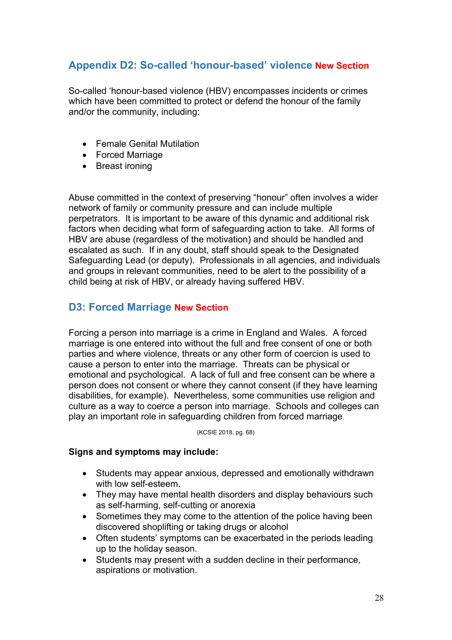## **Appendix D2: So-called 'honour-based' violence New Section**

So-called 'honour-based violence (HBV) encompasses incidents or crimes which have been committed to protect or defend the honour of the family and/or the community, including:

- Female Genital Mutilation
- Forced Marriage
- Breast ironing

Abuse committed in the context of preserving "honour" often involves a wider network of family or community pressure and can include multiple perpetrators. It is important to be aware of this dynamic and additional risk factors when deciding what form of safeguarding action to take. All forms of HBV are abuse (regardless of the motivation) and should be handled and escalated as such. If in any doubt, staff should speak to the Designated Safeguarding Lead (or deputy). Professionals in all agencies, and individuals and groups in relevant communities, need to be alert to the possibility of a child being at risk of HBV, or already having suffered HBV.

#### **D3: Forced Marriage New Section**

Forcing a person into marriage is a crime in England and Wales. A forced marriage is one entered into without the full and free consent of one or both parties and where violence, threats or any other form of coercion is used to cause a person to enter into the marriage. Threats can be physical or emotional and psychological. A lack of full and free consent can be where a person does not consent or where they cannot consent (if they have learning disabilities, for example). Nevertheless, some communities use religion and culture as a way to coerce a person into marriage. Schools and colleges can play an important role in safeguarding children from forced marriage.

(KCSIE 2018, pg. 68)

#### **Signs and symptoms may include:**

- Students may appear anxious, depressed and emotionally withdrawn with low self-esteem.
- They may have mental health disorders and display behaviours such as self-harming, self-cutting or anorexia
- Sometimes they may come to the attention of the police having been discovered shoplifting or taking drugs or alcohol
- Often students' symptoms can be exacerbated in the periods leading up to the holiday season.
- Students may present with a sudden decline in their performance, aspirations or motivation.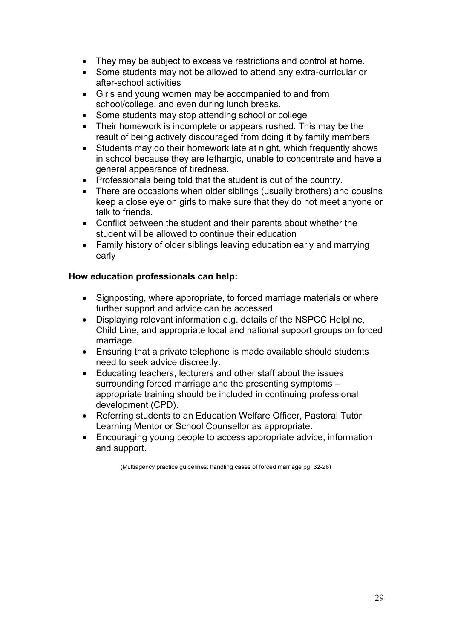- They may be subject to excessive restrictions and control at home.
- Some students may not be allowed to attend any extra-curricular or after-school activities
- Girls and young women may be accompanied to and from school/college, and even during lunch breaks.
- Some students may stop attending school or college
- Their homework is incomplete or appears rushed. This may be the result of being actively discouraged from doing it by family members.
- Students may do their homework late at night, which frequently shows in school because they are lethargic, unable to concentrate and have a general appearance of tiredness.
- Professionals being told that the student is out of the country.
- There are occasions when older siblings (usually brothers) and cousins keep a close eye on girls to make sure that they do not meet anyone or talk to friends.
- Conflict between the student and their parents about whether the student will be allowed to continue their education
- Family history of older siblings leaving education early and marrying early

#### **How education professionals can help:**

- Signposting, where appropriate, to forced marriage materials or where further support and advice can be accessed.
- Displaying relevant information e.g. details of the NSPCC Helpline, Child Line, and appropriate local and national support groups on forced marriage.
- Ensuring that a private telephone is made available should students need to seek advice discreetly.
- Educating teachers, lecturers and other staff about the issues surrounding forced marriage and the presenting symptoms – appropriate training should be included in continuing professional development (CPD).
- Referring students to an Education Welfare Officer, Pastoral Tutor, Learning Mentor or School Counsellor as appropriate.
- Encouraging young people to access appropriate advice, information and support.

(Multiagency practice guidelines: handling cases of forced marriage pg. 32-26)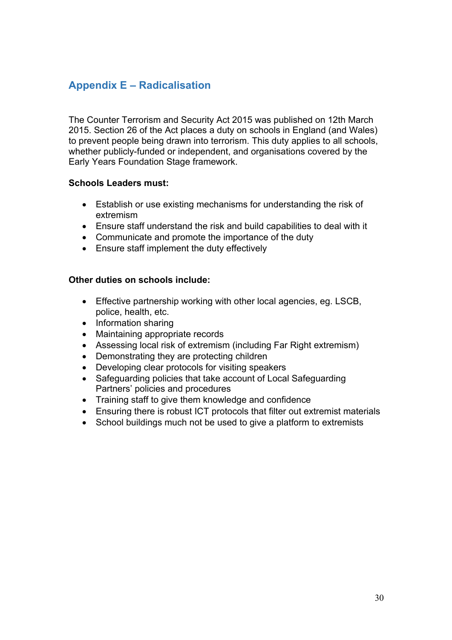# **Appendix E – Radicalisation**

The Counter Terrorism and Security Act 2015 was published on 12th March 2015. Section 26 of the Act places a duty on schools in England (and Wales) to prevent people being drawn into terrorism. This duty applies to all schools, whether publicly-funded or independent, and organisations covered by the Early Years Foundation Stage framework.

#### **Schools Leaders must:**

- Establish or use existing mechanisms for understanding the risk of extremism
- Ensure staff understand the risk and build capabilities to deal with it
- Communicate and promote the importance of the duty
- Ensure staff implement the duty effectively

#### **Other duties on schools include:**

- Effective partnership working with other local agencies, eg. LSCB, police, health, etc.
- Information sharing
- Maintaining appropriate records
- Assessing local risk of extremism (including Far Right extremism)
- Demonstrating they are protecting children
- Developing clear protocols for visiting speakers
- Safeguarding policies that take account of Local Safeguarding Partners' policies and procedures
- Training staff to give them knowledge and confidence
- Ensuring there is robust ICT protocols that filter out extremist materials
- School buildings much not be used to give a platform to extremists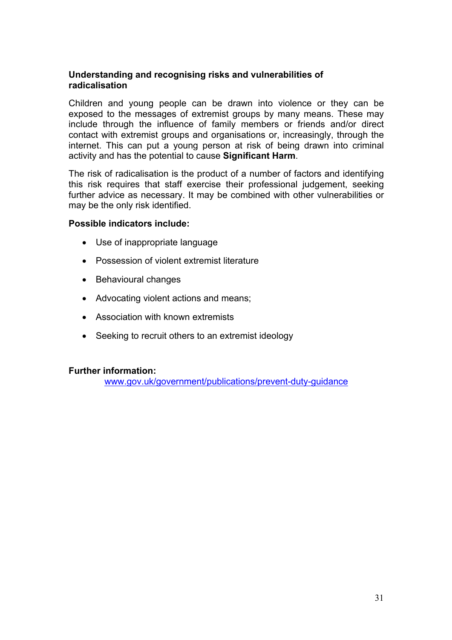#### **Understanding and recognising risks and vulnerabilities of radicalisation**

Children and young people can be drawn into violence or they can be exposed to the messages of extremist groups by many means. These may include through the influence of family members or friends and/or direct contact with extremist groups and organisations or, increasingly, through the internet. This can put a young person at risk of being drawn into criminal activity and has the potential to cause **Significant Harm**.

The risk of radicalisation is the product of a number of factors and identifying this risk requires that staff exercise their professional judgement, seeking further advice as necessary. It may be combined with other vulnerabilities or may be the only risk identified.

#### **Possible indicators include:**

- Use of inappropriate language
- Possession of violent extremist literature
- Behavioural changes
- Advocating violent actions and means;
- Association with known extremists
- Seeking to recruit others to an extremist ideology

#### **Further information:**

www.gov.uk/government/publications/prevent-duty-guidance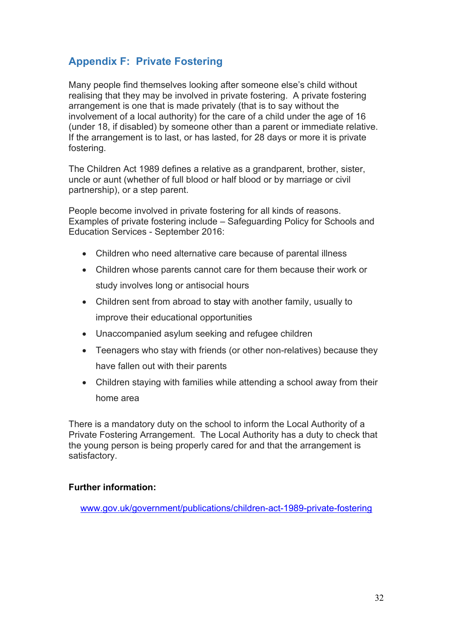# **Appendix F: Private Fostering**

Many people find themselves looking after someone else's child without realising that they may be involved in private fostering. A private fostering arrangement is one that is made privately (that is to say without the involvement of a local authority) for the care of a child under the age of 16 (under 18, if disabled) by someone other than a parent or immediate relative. If the arrangement is to last, or has lasted, for 28 days or more it is private fostering.

The Children Act 1989 defines a relative as a grandparent, brother, sister, uncle or aunt (whether of full blood or half blood or by marriage or civil partnership), or a step parent.

People become involved in private fostering for all kinds of reasons. Examples of private fostering include – Safeguarding Policy for Schools and Education Services - September 2016:

- Children who need alternative care because of parental illness
- Children whose parents cannot care for them because their work or study involves long or antisocial hours
- Children sent from abroad to stay with another family, usually to improve their educational opportunities
- Unaccompanied asylum seeking and refugee children
- Teenagers who stay with friends (or other non-relatives) because they have fallen out with their parents
- Children staying with families while attending a school away from their home area

There is a mandatory duty on the school to inform the Local Authority of a Private Fostering Arrangement. The Local Authority has a duty to check that the young person is being properly cared for and that the arrangement is satisfactory.

#### **Further information:**

www.gov.uk/government/publications/children-act-1989-private-fostering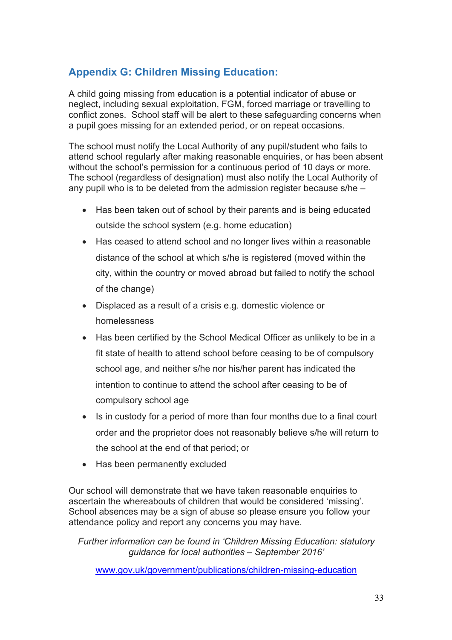# **Appendix G: Children Missing Education:**

A child going missing from education is a potential indicator of abuse or neglect, including sexual exploitation, FGM, forced marriage or travelling to conflict zones. School staff will be alert to these safeguarding concerns when a pupil goes missing for an extended period, or on repeat occasions.

The school must notify the Local Authority of any pupil/student who fails to attend school regularly after making reasonable enquiries, or has been absent without the school's permission for a continuous period of 10 days or more. The school (regardless of designation) must also notify the Local Authority of any pupil who is to be deleted from the admission register because s/he –

- Has been taken out of school by their parents and is being educated outside the school system (e.g. home education)
- Has ceased to attend school and no longer lives within a reasonable distance of the school at which s/he is registered (moved within the city, within the country or moved abroad but failed to notify the school of the change)
- Displaced as a result of a crisis e.g. domestic violence or homelessness
- Has been certified by the School Medical Officer as unlikely to be in a fit state of health to attend school before ceasing to be of compulsory school age, and neither s/he nor his/her parent has indicated the intention to continue to attend the school after ceasing to be of compulsory school age
- Is in custody for a period of more than four months due to a final court order and the proprietor does not reasonably believe s/he will return to the school at the end of that period; or
- Has been permanently excluded

Our school will demonstrate that we have taken reasonable enquiries to ascertain the whereabouts of children that would be considered 'missing'. School absences may be a sign of abuse so please ensure you follow your attendance policy and report any concerns you may have.

*Further information can be found in 'Children Missing Education: statutory guidance for local authorities – September 2016'* 

www.gov.uk/government/publications/children-missing-education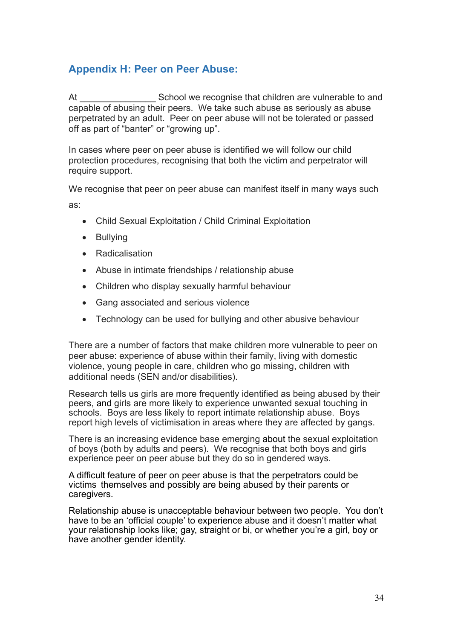## **Appendix H: Peer on Peer Abuse:**

At School we recognise that children are vulnerable to and capable of abusing their peers. We take such abuse as seriously as abuse perpetrated by an adult. Peer on peer abuse will not be tolerated or passed off as part of "banter" or "growing up".

In cases where peer on peer abuse is identified we will follow our child protection procedures, recognising that both the victim and perpetrator will require support.

We recognise that peer on peer abuse can manifest itself in many ways such as:

- Child Sexual Exploitation / Child Criminal Exploitation
- Bullying
- Radicalisation
- Abuse in intimate friendships / relationship abuse
- Children who display sexually harmful behaviour
- Gang associated and serious violence
- Technology can be used for bullying and other abusive behaviour

There are a number of factors that make children more vulnerable to peer on peer abuse: experience of abuse within their family, living with domestic violence, young people in care, children who go missing, children with additional needs (SEN and/or disabilities).

Research tells us girls are more frequently identified as being abused by their peers, and girls are more likely to experience unwanted sexual touching in schools. Boys are less likely to report intimate relationship abuse. Boys report high levels of victimisation in areas where they are affected by gangs.

There is an increasing evidence base emerging about the sexual exploitation of boys (both by adults and peers). We recognise that both boys and girls experience peer on peer abuse but they do so in gendered ways.

A difficult feature of peer on peer abuse is that the perpetrators could be victims themselves and possibly are being abused by their parents or caregivers.

Relationship abuse is unacceptable behaviour between two people. You don't have to be an 'official couple' to experience abuse and it doesn't matter what your relationship looks like; gay, straight or bi, or whether you're a girl, boy or have another gender identity.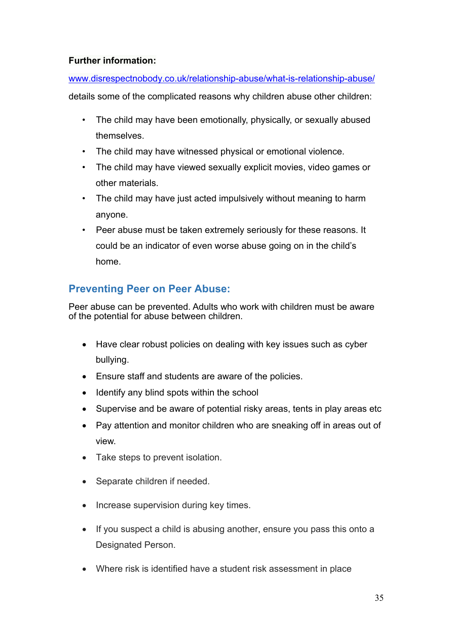#### **Further information:**

www.disrespectnobody.co.uk/relationship-abuse/what-is-relationship-abuse/

details some of the complicated reasons why children abuse other children:

- The child may have been emotionally, physically, or sexually abused themselves.
- The child may have witnessed physical or emotional violence.
- The child may have viewed sexually explicit movies, video games or other materials.
- The child may have just acted impulsively without meaning to harm anyone.
- Peer abuse must be taken extremely seriously for these reasons. It could be an indicator of even worse abuse going on in the child's home.

# **Preventing Peer on Peer Abuse:**

Peer abuse can be prevented. Adults who work with children must be aware of the potential for abuse between children.

- Have clear robust policies on dealing with key issues such as cyber bullying.
- Ensure staff and students are aware of the policies.
- Identify any blind spots within the school
- Supervise and be aware of potential risky areas, tents in play areas etc
- Pay attention and monitor children who are sneaking off in areas out of view.
- Take steps to prevent isolation.
- Separate children if needed.
- Increase supervision during key times.
- If you suspect a child is abusing another, ensure you pass this onto a Designated Person.
- Where risk is identified have a student risk assessment in place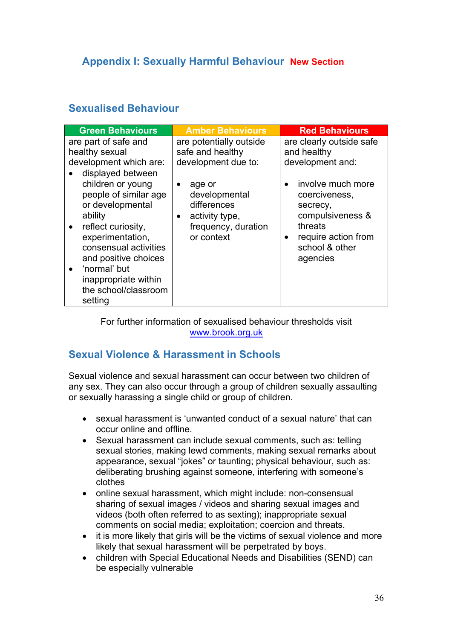# **Appendix I: Sexually Harmful Behaviour New Section**

### **Sexualised Behaviour**

| <b>Green Behaviours</b>                                                                                                                                                                                                                                                                                                                  | <b>Amber Behaviours</b>                                                                                                                                                                       | <b>Red Behaviours</b>                                                                                                                                                                                                       |
|------------------------------------------------------------------------------------------------------------------------------------------------------------------------------------------------------------------------------------------------------------------------------------------------------------------------------------------|-----------------------------------------------------------------------------------------------------------------------------------------------------------------------------------------------|-----------------------------------------------------------------------------------------------------------------------------------------------------------------------------------------------------------------------------|
| are part of safe and<br>healthy sexual<br>development which are:<br>displayed between<br>children or young<br>people of similar age<br>or developmental<br>ability<br>reflect curiosity,<br>experimentation,<br>consensual activities<br>and positive choices<br>'normal' but<br>inappropriate within<br>the school/classroom<br>setting | are potentially outside<br>safe and healthy<br>development due to:<br>age or<br>$\bullet$<br>developmental<br>differences<br>activity type,<br>$\bullet$<br>frequency, duration<br>or context | are clearly outside safe<br>and healthy<br>development and:<br>involve much more<br>$\bullet$<br>coerciveness,<br>secrecy,<br>compulsiveness &<br>threats<br>require action from<br>$\bullet$<br>school & other<br>agencies |
|                                                                                                                                                                                                                                                                                                                                          |                                                                                                                                                                                               |                                                                                                                                                                                                                             |

For further information of sexualised behaviour thresholds visit www.brook.org.uk

## **Sexual Violence & Harassment in Schools**

Sexual violence and sexual harassment can occur between two children of any sex. They can also occur through a group of children sexually assaulting or sexually harassing a single child or group of children.

- sexual harassment is 'unwanted conduct of a sexual nature' that can occur online and offline.
- Sexual harassment can include sexual comments, such as: telling sexual stories, making lewd comments, making sexual remarks about appearance, sexual "jokes" or taunting; physical behaviour, such as: deliberating brushing against someone, interfering with someone's clothes
- online sexual harassment, which might include: non-consensual sharing of sexual images / videos and sharing sexual images and videos (both often referred to as sexting); inappropriate sexual comments on social media; exploitation; coercion and threats.
- it is more likely that girls will be the victims of sexual violence and more likely that sexual harassment will be perpetrated by boys.
- children with Special Educational Needs and Disabilities (SEND) can be especially vulnerable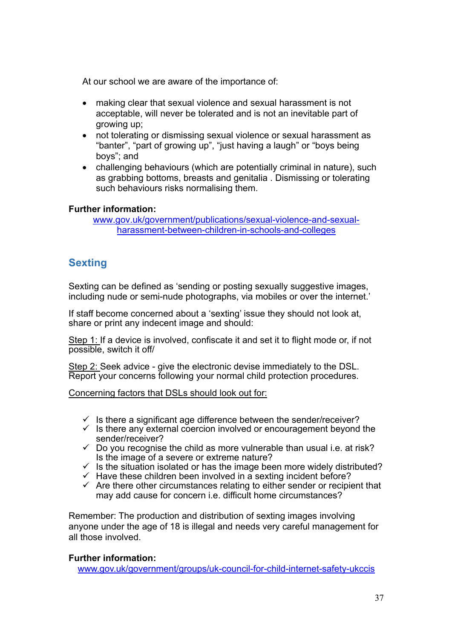At our school we are aware of the importance of:

- making clear that sexual violence and sexual harassment is not acceptable, will never be tolerated and is not an inevitable part of growing up;
- not tolerating or dismissing sexual violence or sexual harassment as "banter", "part of growing up", "just having a laugh" or "boys being boys"; and
- challenging behaviours (which are potentially criminal in nature), such as grabbing bottoms, breasts and genitalia . Dismissing or tolerating such behaviours risks normalising them.

#### **Further information:**

www.gov.uk/government/publications/sexual-violence-and-sexualharassment-between-children-in-schools-and-colleges

# **Sexting**

Sexting can be defined as 'sending or posting sexually suggestive images, including nude or semi-nude photographs, via mobiles or over the internet.'

If staff become concerned about a 'sexting' issue they should not look at, share or print any indecent image and should:

Step 1: If a device is involved, confiscate it and set it to flight mode or, if not possible, switch it off/

Step 2: Seek advice - give the electronic devise immediately to the DSL. Report your concerns following your normal child protection procedures.

Concerning factors that DSLs should look out for:

- $\checkmark$  Is there a significant age difference between the sender/receiver?
- $\checkmark$  Is there any external coercion involved or encouragement beyond the sender/receiver?
- $\checkmark$  Do you recognise the child as more vulnerable than usual i.e. at risk? Is the image of a severe or extreme nature?
- $\checkmark$  is the situation isolated or has the image been more widely distributed?
- $\checkmark$  Have these children been involved in a sexting incident before?
- $\checkmark$  Are there other circumstances relating to either sender or recipient that may add cause for concern i.e. difficult home circumstances?

Remember: The production and distribution of sexting images involving anyone under the age of 18 is illegal and needs very careful management for all those involved.

#### **Further information:**

www.gov.uk/government/groups/uk-council-for-child-internet-safety-ukccis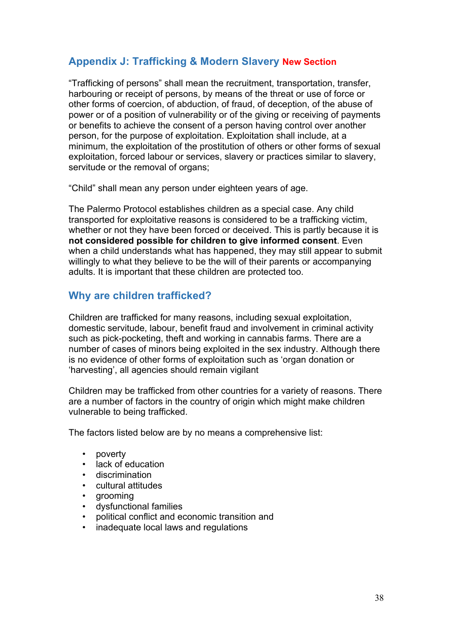### **Appendix J: Trafficking & Modern Slavery New Section**

"Trafficking of persons" shall mean the recruitment, transportation, transfer, harbouring or receipt of persons, by means of the threat or use of force or other forms of coercion, of abduction, of fraud, of deception, of the abuse of power or of a position of vulnerability or of the giving or receiving of payments or benefits to achieve the consent of a person having control over another person, for the purpose of exploitation. Exploitation shall include, at a minimum, the exploitation of the prostitution of others or other forms of sexual exploitation, forced labour or services, slavery or practices similar to slavery, servitude or the removal of organs;

"Child" shall mean any person under eighteen years of age.

The Palermo Protocol establishes children as a special case. Any child transported for exploitative reasons is considered to be a trafficking victim, whether or not they have been forced or deceived. This is partly because it is **not considered possible for children to give informed consent**. Even when a child understands what has happened, they may still appear to submit willingly to what they believe to be the will of their parents or accompanying adults. It is important that these children are protected too.

### **Why are children trafficked?**

Children are trafficked for many reasons, including sexual exploitation, domestic servitude, labour, benefit fraud and involvement in criminal activity such as pick-pocketing, theft and working in cannabis farms. There are a number of cases of minors being exploited in the sex industry. Although there is no evidence of other forms of exploitation such as 'organ donation or 'harvesting', all agencies should remain vigilant

Children may be trafficked from other countries for a variety of reasons. There are a number of factors in the country of origin which might make children vulnerable to being trafficked.

The factors listed below are by no means a comprehensive list:

- poverty
- lack of education
- discrimination
- cultural attitudes
- grooming
- dysfunctional families
- political conflict and economic transition and
- inadequate local laws and regulations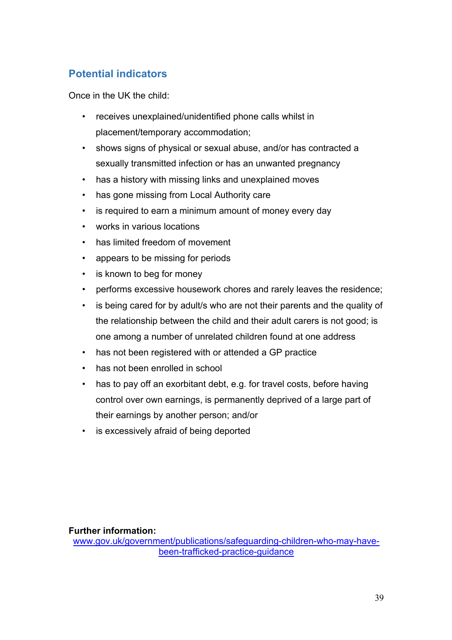# **Potential indicators**

Once in the UK the child:

- receives unexplained/unidentified phone calls whilst in placement/temporary accommodation;
- shows signs of physical or sexual abuse, and/or has contracted a sexually transmitted infection or has an unwanted pregnancy
- has a history with missing links and unexplained moves
- has gone missing from Local Authority care
- is required to earn a minimum amount of money every day
- works in various locations
- has limited freedom of movement
- appears to be missing for periods
- is known to beg for money
- performs excessive housework chores and rarely leaves the residence;
- is being cared for by adult/s who are not their parents and the quality of the relationship between the child and their adult carers is not good; is one among a number of unrelated children found at one address
- has not been registered with or attended a GP practice
- has not been enrolled in school
- has to pay off an exorbitant debt, e.g. for travel costs, before having control over own earnings, is permanently deprived of a large part of their earnings by another person; and/or
- is excessively afraid of being deported

**Further information:** 

www.gov.uk/government/publications/safeguarding-children-who-may-havebeen-trafficked-practice-guidance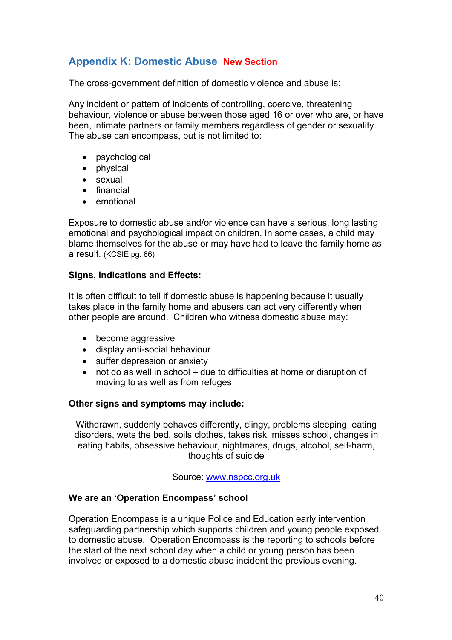# **Appendix K: Domestic Abuse New Section**

The cross-government definition of domestic violence and abuse is:

Any incident or pattern of incidents of controlling, coercive, threatening behaviour, violence or abuse between those aged 16 or over who are, or have been, intimate partners or family members regardless of gender or sexuality. The abuse can encompass, but is not limited to:

- psychological
- physical
- sexual
- financial
- emotional

Exposure to domestic abuse and/or violence can have a serious, long lasting emotional and psychological impact on children. In some cases, a child may blame themselves for the abuse or may have had to leave the family home as a result. (KCSIE pg. 66)

#### **Signs, Indications and Effects:**

It is often difficult to tell if domestic abuse is happening because it usually takes place in the family home and abusers can act very differently when other people are around. Children who witness domestic abuse may:

- become aggressive
- display anti-social behaviour
- suffer depression or anxiety
- not do as well in school due to difficulties at home or disruption of moving to as well as from refuges

#### **Other signs and symptoms may include:**

Withdrawn, suddenly behaves differently, clingy, problems sleeping, eating disorders, wets the bed, soils clothes, takes risk, misses school, changes in eating habits, obsessive behaviour, nightmares, drugs, alcohol, self-harm, thoughts of suicide

Source: www.nspcc.org.uk

#### **We are an 'Operation Encompass' school**

Operation Encompass is a unique Police and Education early intervention safeguarding partnership which supports children and young people exposed to domestic abuse. Operation Encompass is the reporting to schools before the start of the next school day when a child or young person has been involved or exposed to a domestic abuse incident the previous evening.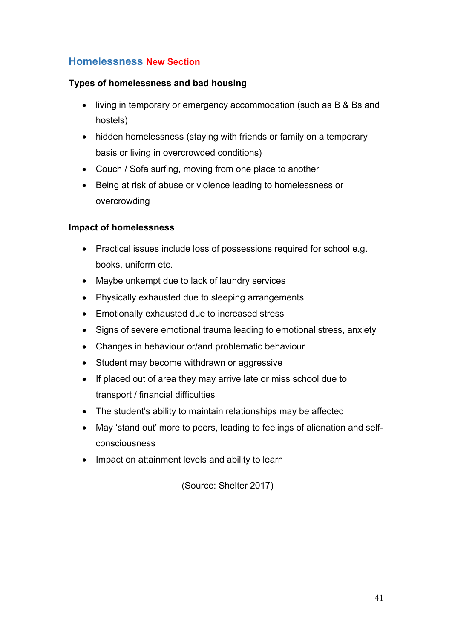# **Homelessness New Section**

#### **Types of homelessness and bad housing**

- living in temporary or emergency accommodation (such as B & Bs and hostels)
- hidden homelessness (staying with friends or family on a temporary basis or living in overcrowded conditions)
- Couch / Sofa surfing, moving from one place to another
- Being at risk of abuse or violence leading to homelessness or overcrowding

#### **Impact of homelessness**

- Practical issues include loss of possessions required for school e.g. books, uniform etc.
- Maybe unkempt due to lack of laundry services
- Physically exhausted due to sleeping arrangements
- Emotionally exhausted due to increased stress
- Signs of severe emotional trauma leading to emotional stress, anxiety
- Changes in behaviour or/and problematic behaviour
- Student may become withdrawn or aggressive
- If placed out of area they may arrive late or miss school due to transport / financial difficulties
- The student's ability to maintain relationships may be affected
- May 'stand out' more to peers, leading to feelings of alienation and selfconsciousness
- Impact on attainment levels and ability to learn

(Source: Shelter 2017)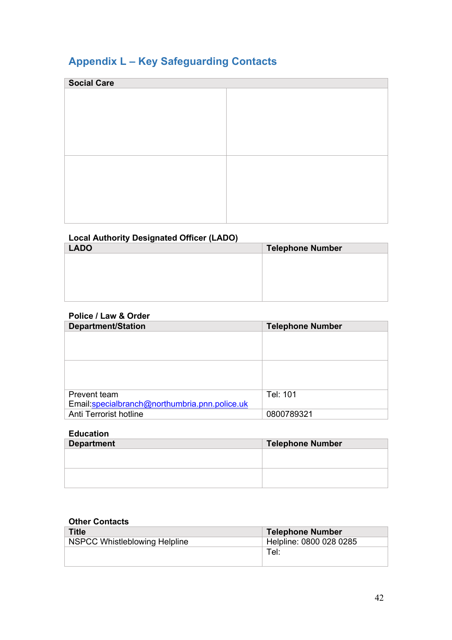# **Appendix L – Key Safeguarding Contacts**

| <b>Social Care</b> |  |  |
|--------------------|--|--|
|                    |  |  |
|                    |  |  |
|                    |  |  |
|                    |  |  |
|                    |  |  |
|                    |  |  |
|                    |  |  |
|                    |  |  |
|                    |  |  |
|                    |  |  |
|                    |  |  |
|                    |  |  |

| <b>Local Authority Designated Officer (LADO)</b> |                         |  |
|--------------------------------------------------|-------------------------|--|
| <b>LADO</b>                                      | <b>Telephone Number</b> |  |
|                                                  |                         |  |
|                                                  |                         |  |
|                                                  |                         |  |
|                                                  |                         |  |
|                                                  |                         |  |

#### **Police / Law & Order**

| <b>Department/Station</b>                     | <b>Telephone Number</b> |
|-----------------------------------------------|-------------------------|
|                                               |                         |
|                                               |                         |
|                                               |                         |
|                                               |                         |
|                                               |                         |
|                                               |                         |
| Prevent team                                  | Tel: 101                |
| Email:specialbranch@northumbria.pnn.police.uk |                         |
| Anti Terrorist hotline                        | 0800789321              |

### **Education**

| <b>Department</b> | <b>Telephone Number</b> |
|-------------------|-------------------------|
|                   |                         |
|                   |                         |
|                   |                         |
|                   |                         |

#### **Other Contacts**

| <b>Title</b>                  | <b>Telephone Number</b> |
|-------------------------------|-------------------------|
| NSPCC Whistleblowing Helpline | Helpline: 0800 028 0285 |
|                               | Tel:                    |
|                               |                         |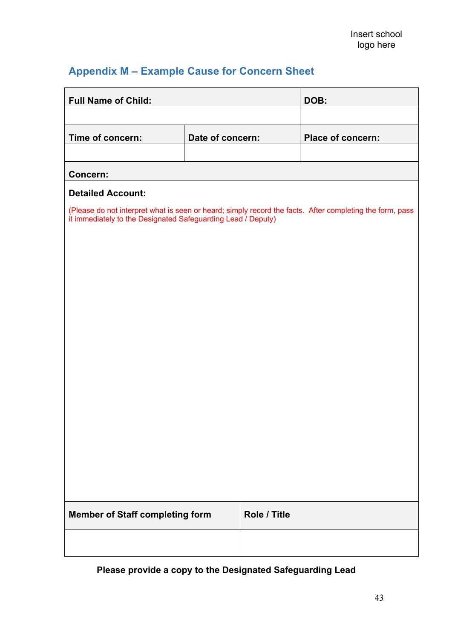# **Appendix M – Example Cause for Concern Sheet**

| <b>Full Name of Child:</b>                                                                                                                                               |                  |              | DOB:              |  |
|--------------------------------------------------------------------------------------------------------------------------------------------------------------------------|------------------|--------------|-------------------|--|
| Time of concern:                                                                                                                                                         | Date of concern: |              | Place of concern: |  |
| Concern:                                                                                                                                                                 |                  |              |                   |  |
| <b>Detailed Account:</b>                                                                                                                                                 |                  |              |                   |  |
| (Please do not interpret what is seen or heard; simply record the facts. After completing the form, pass<br>it immediately to the Designated Safeguarding Lead / Deputy) |                  |              |                   |  |
| <b>Member of Staff completing form</b>                                                                                                                                   |                  | Role / Title |                   |  |
|                                                                                                                                                                          |                  |              |                   |  |

### **Please provide a copy to the Designated Safeguarding Lead**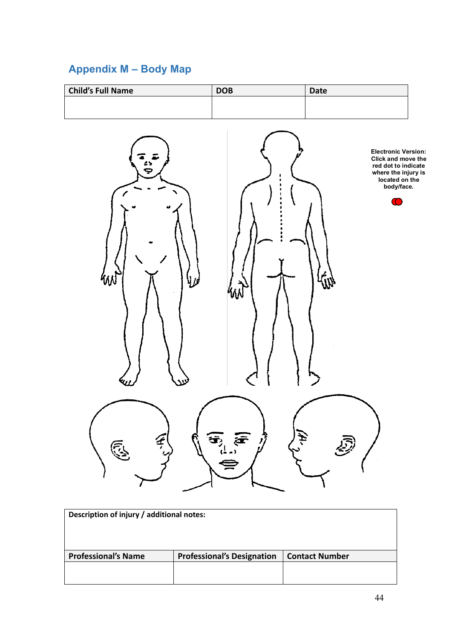# **Appendix M – Body Map**



| Description of injury / additional notes: |                                   |                       |  |  |  |
|-------------------------------------------|-----------------------------------|-----------------------|--|--|--|
| <b>Professional's Name</b>                | <b>Professional's Designation</b> | <b>Contact Number</b> |  |  |  |
|                                           |                                   |                       |  |  |  |
|                                           |                                   |                       |  |  |  |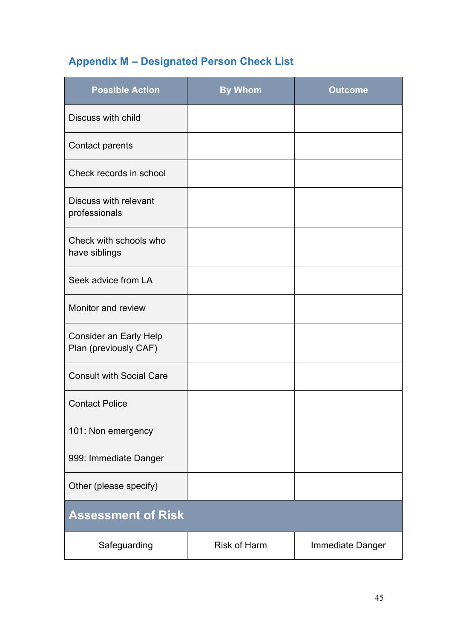# **Appendix M – Designated Person Check List**

| <b>Possible Action</b>                                 | <b>By Whom</b>      | <b>Outcome</b>   |  |  |
|--------------------------------------------------------|---------------------|------------------|--|--|
| Discuss with child                                     |                     |                  |  |  |
| Contact parents                                        |                     |                  |  |  |
| Check records in school                                |                     |                  |  |  |
| Discuss with relevant<br>professionals                 |                     |                  |  |  |
| Check with schools who<br>have siblings                |                     |                  |  |  |
| Seek advice from LA                                    |                     |                  |  |  |
| Monitor and review                                     |                     |                  |  |  |
| <b>Consider an Early Help</b><br>Plan (previously CAF) |                     |                  |  |  |
| <b>Consult with Social Care</b>                        |                     |                  |  |  |
| <b>Contact Police</b>                                  |                     |                  |  |  |
| 101: Non emergency                                     |                     |                  |  |  |
| 999: Immediate Danger                                  |                     |                  |  |  |
| Other (please specify)                                 |                     |                  |  |  |
| <b>Assessment of Risk</b>                              |                     |                  |  |  |
| Safeguarding                                           | <b>Risk of Harm</b> | Immediate Danger |  |  |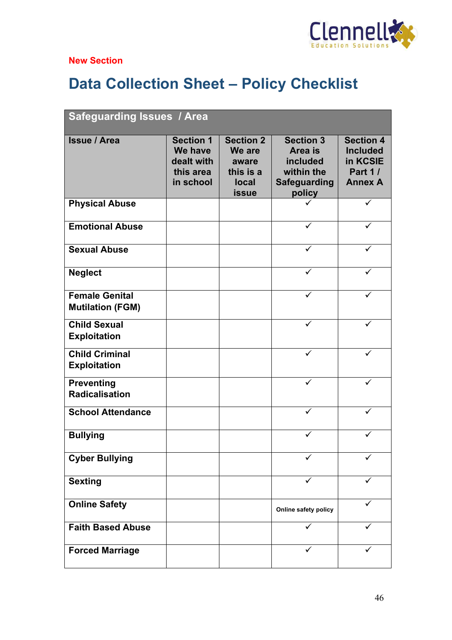

### **New Section**

# **Data Collection Sheet – Policy Checklist**

| <b>Safeguarding Issues / Area</b>                |                                                                     |                                                                                  |                                                                                               |                                                                                     |  |
|--------------------------------------------------|---------------------------------------------------------------------|----------------------------------------------------------------------------------|-----------------------------------------------------------------------------------------------|-------------------------------------------------------------------------------------|--|
| <b>Issue / Area</b>                              | <b>Section 1</b><br>We have<br>dealt with<br>this area<br>in school | <b>Section 2</b><br>We are<br>aware<br>this is a<br><b>local</b><br><b>issue</b> | <b>Section 3</b><br>Area is<br><b>included</b><br>within the<br><b>Safeguarding</b><br>policy | <b>Section 4</b><br><b>Included</b><br>in KCSIE<br><b>Part 1/</b><br><b>Annex A</b> |  |
| <b>Physical Abuse</b>                            |                                                                     |                                                                                  |                                                                                               | ✓                                                                                   |  |
| <b>Emotional Abuse</b>                           |                                                                     |                                                                                  | ✓                                                                                             | ✓                                                                                   |  |
| <b>Sexual Abuse</b>                              |                                                                     |                                                                                  | ✓                                                                                             | ✓                                                                                   |  |
| <b>Neglect</b>                                   |                                                                     |                                                                                  | ✓                                                                                             |                                                                                     |  |
| <b>Female Genital</b><br><b>Mutilation (FGM)</b> |                                                                     |                                                                                  |                                                                                               | ✓                                                                                   |  |
| <b>Child Sexual</b><br><b>Exploitation</b>       |                                                                     |                                                                                  |                                                                                               |                                                                                     |  |
| <b>Child Criminal</b><br><b>Exploitation</b>     |                                                                     |                                                                                  |                                                                                               |                                                                                     |  |
| <b>Preventing</b><br><b>Radicalisation</b>       |                                                                     |                                                                                  | $\checkmark$                                                                                  | ✓                                                                                   |  |
| <b>School Attendance</b>                         |                                                                     |                                                                                  |                                                                                               |                                                                                     |  |
| <b>Bullying</b>                                  |                                                                     |                                                                                  |                                                                                               |                                                                                     |  |
| <b>Cyber Bullying</b>                            |                                                                     |                                                                                  |                                                                                               |                                                                                     |  |
| <b>Sexting</b>                                   |                                                                     |                                                                                  | ✓                                                                                             | ✓                                                                                   |  |
| <b>Online Safety</b>                             |                                                                     |                                                                                  | Online safety policy                                                                          |                                                                                     |  |
| <b>Faith Based Abuse</b>                         |                                                                     |                                                                                  | ✓                                                                                             | ✓                                                                                   |  |
| <b>Forced Marriage</b>                           |                                                                     |                                                                                  | ✓                                                                                             |                                                                                     |  |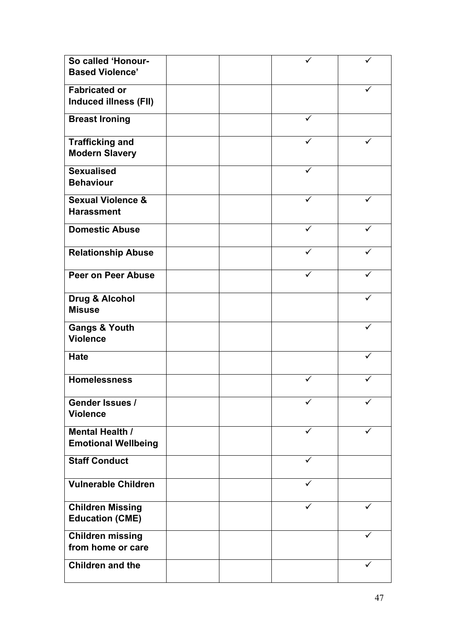| So called 'Honour-<br><b>Based Violence'</b>         |  |   |   |
|------------------------------------------------------|--|---|---|
| <b>Fabricated or</b><br><b>Induced illness (FII)</b> |  |   |   |
| <b>Breast Ironing</b>                                |  |   |   |
| <b>Trafficking and</b><br><b>Modern Slavery</b>      |  |   |   |
| <b>Sexualised</b><br><b>Behaviour</b>                |  | ✓ |   |
| <b>Sexual Violence &amp;</b><br><b>Harassment</b>    |  |   |   |
| <b>Domestic Abuse</b>                                |  | ✓ |   |
| <b>Relationship Abuse</b>                            |  |   |   |
| Peer on Peer Abuse                                   |  | ✓ | ✓ |
| Drug & Alcohol<br><b>Misuse</b>                      |  |   | ✓ |
| <b>Gangs &amp; Youth</b><br><b>Violence</b>          |  |   |   |
| <b>Hate</b>                                          |  |   |   |
| <b>Homelessness</b>                                  |  |   |   |
| Gender Issues /<br><b>Violence</b>                   |  |   |   |
| <b>Mental Health /</b><br><b>Emotional Wellbeing</b> |  |   |   |
| <b>Staff Conduct</b>                                 |  |   |   |
| <b>Vulnerable Children</b>                           |  |   |   |
| <b>Children Missing</b><br><b>Education (CME)</b>    |  |   |   |
| <b>Children missing</b><br>from home or care         |  |   | ✓ |
| <b>Children and the</b>                              |  |   | ✓ |